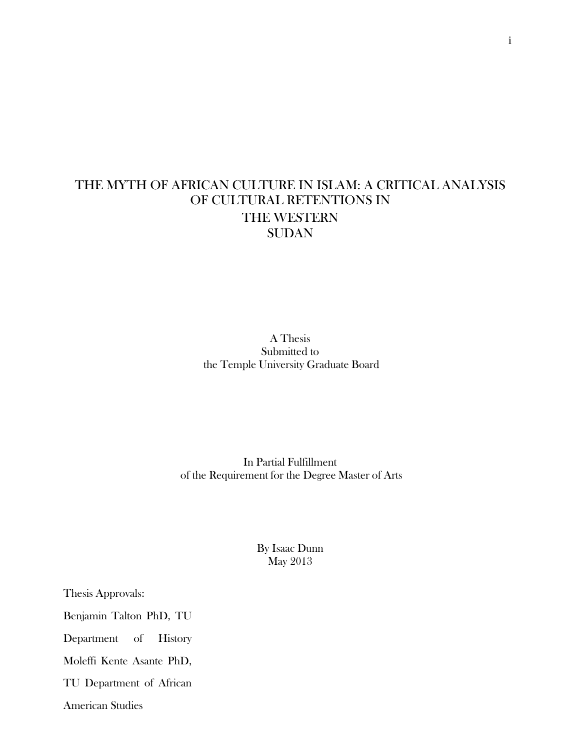## THE MYTH OF AFRICAN CULTURE IN ISLAM: A CRITICAL ANALYSIS OF CULTURAL RETENTIONS IN THE WESTERN **SUDAN**

A Thesis Submitted to the Temple University Graduate Board

In Partial Fulfillment of the Requirement for the Degree Master of Arts

> By Isaac Dunn May 2013

Thesis Approvals:

Benjamin Talton PhD, TU

Department of History

Moleffi Kente Asante PhD,

TU Department of African

American Studies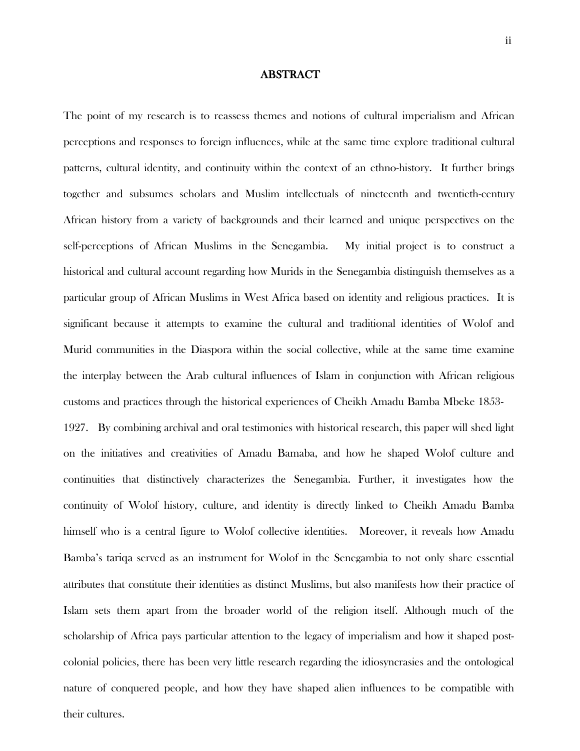## ABSTRACT

The point of my research is to reassess themes and notions of cultural imperialism and African perceptions and responses to foreign influences, while at the same time explore traditional cultural patterns, cultural identity, and continuity within the context of an ethno-history. It further brings together and subsumes scholars and Muslim intellectuals of nineteenth and twentieth-century African history from a variety of backgrounds and their learned and unique perspectives on the self-perceptions of African Muslims in the Senegambia. My initial project is to construct a historical and cultural account regarding how Murids in the Senegambia distinguish themselves as a particular group of African Muslims in West Africa based on identity and religious practices. It is significant because it attempts to examine the cultural and traditional identities of Wolof and Murid communities in the Diaspora within the social collective, while at the same time examine the interplay between the Arab cultural influences of Islam in conjunction with African religious customs and practices through the historical experiences of Cheikh Amadu Bamba Mbeke 1853-

1927. By combining archival and oral testimonies with historical research, this paper will shed light on the initiatives and creativities of Amadu Bamaba, and how he shaped Wolof culture and continuities that distinctively characterizes the Senegambia. Further, it investigates how the continuity of Wolof history, culture, and identity is directly linked to Cheikh Amadu Bamba himself who is a central figure to Wolof collective identities. Moreover, it reveals how Amadu Bamba's tariqa served as an instrument for Wolof in the Senegambia to not only share essential attributes that constitute their identities as distinct Muslims, but also manifests how their practice of Islam sets them apart from the broader world of the religion itself. Although much of the scholarship of Africa pays particular attention to the legacy of imperialism and how it shaped postcolonial policies, there has been very little research regarding the idiosyncrasies and the ontological nature of conquered people, and how they have shaped alien influences to be compatible with their cultures.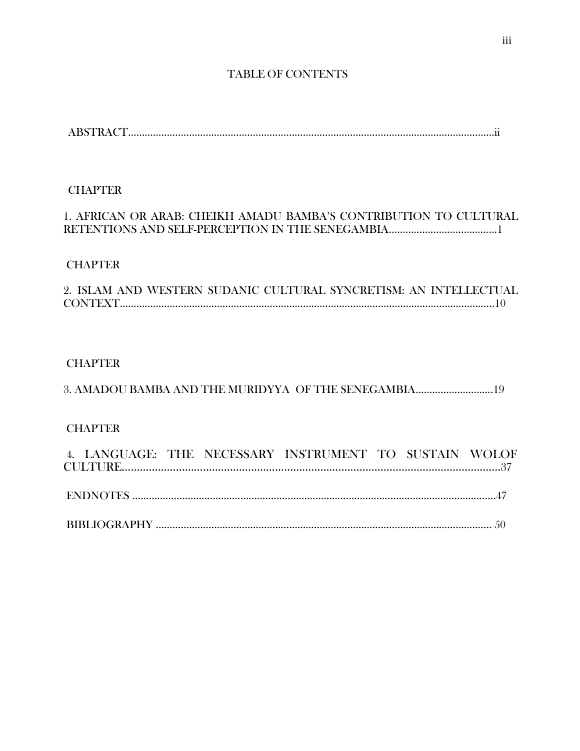## TABLE OF CONTENTS

ABSTRACT……………………………………………………………………………………………………………………ii

## **CHAPTER**

## 1. AFRICAN OR ARAB: CHEIKH AMADU BAMBA'S CONTRIBUTION TO CULTURAL RETENTIONS AND SELF-PERCEPTION IN THE SENEGAMBIA…………………………………1

## **CHAPTER**

|  |  | 2. ISLAM AND WESTERN SUDANIC CULTURAL SYNCRETISM: AN INTELLECTUAL |  |  |
|--|--|-------------------------------------------------------------------|--|--|
|  |  |                                                                   |  |  |

## CHAPTER

## 3. AMADOU BAMBA AND THE MURIDYYA OF THE SENEGAMBIA……………………….19

## **CHAPTER**

|  |  | 4. LANGUAGE: THE NECESSARY INSTRUMENT TO SUSTAIN WOLOF |  |  |
|--|--|--------------------------------------------------------|--|--|
|  |  |                                                        |  |  |
|  |  |                                                        |  |  |
|  |  |                                                        |  |  |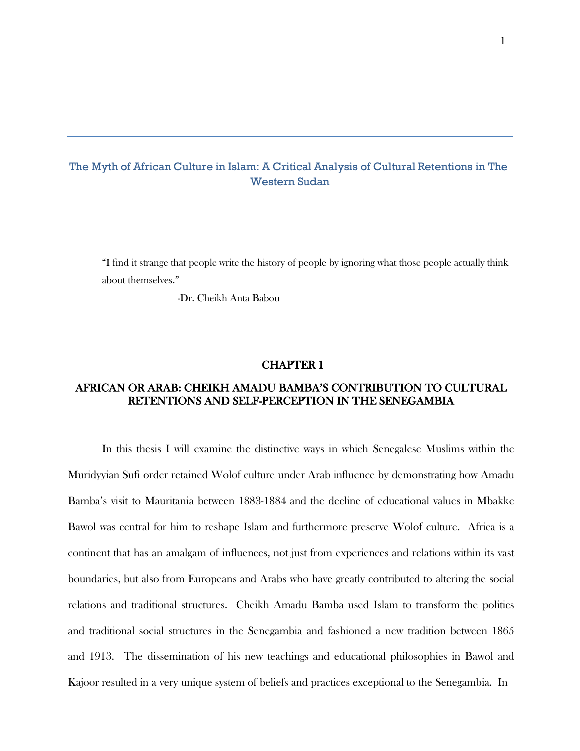## The Myth of African Culture in Islam: A Critical Analysis of Cultural Retentions in The Western Sudan

"I find it strange that people write the history of people by ignoring what those people actually think about themselves."

-Dr. Cheikh Anta Babou

#### CHAPTER 1

## AFRICAN OR ARAB: CHEIKH AMADU BAMBA'S CONTRIBUTION TO CULTURAL RETENTIONS AND SELF-PERCEPTION IN THE SENEGAMBIA

In this thesis I will examine the distinctive ways in which Senegalese Muslims within the Muridyyian Sufi order retained Wolof culture under Arab influence by demonstrating how Amadu Bamba's visit to Mauritania between 1883-1884 and the decline of educational values in Mbakke Bawol was central for him to reshape Islam and furthermore preserve Wolof culture. Africa is a continent that has an amalgam of influences, not just from experiences and relations within its vast boundaries, but also from Europeans and Arabs who have greatly contributed to altering the social relations and traditional structures. Cheikh Amadu Bamba used Islam to transform the politics and traditional social structures in the Senegambia and fashioned a new tradition between 1865 and 1913. The dissemination of his new teachings and educational philosophies in Bawol and Kajoor resulted in a very unique system of beliefs and practices exceptional to the Senegambia. In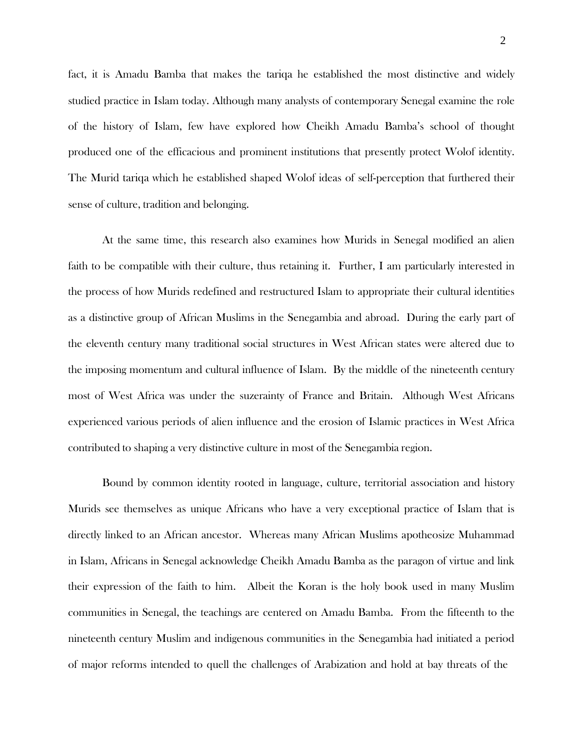fact, it is Amadu Bamba that makes the tariqa he established the most distinctive and widely studied practice in Islam today. Although many analysts of contemporary Senegal examine the role of the history of Islam, few have explored how Cheikh Amadu Bamba's school of thought produced one of the efficacious and prominent institutions that presently protect Wolof identity. The Murid tariqa which he established shaped Wolof ideas of self-perception that furthered their sense of culture, tradition and belonging.

At the same time, this research also examines how Murids in Senegal modified an alien faith to be compatible with their culture, thus retaining it. Further, I am particularly interested in the process of how Murids redefined and restructured Islam to appropriate their cultural identities as a distinctive group of African Muslims in the Senegambia and abroad. During the early part of the eleventh century many traditional social structures in West African states were altered due to the imposing momentum and cultural influence of Islam. By the middle of the nineteenth century most of West Africa was under the suzerainty of France and Britain. Although West Africans experienced various periods of alien influence and the erosion of Islamic practices in West Africa contributed to shaping a very distinctive culture in most of the Senegambia region.

Bound by common identity rooted in language, culture, territorial association and history Murids see themselves as unique Africans who have a very exceptional practice of Islam that is directly linked to an African ancestor. Whereas many African Muslims apotheosize Muhammad in Islam, Africans in Senegal acknowledge Cheikh Amadu Bamba as the paragon of virtue and link their expression of the faith to him. Albeit the Koran is the holy book used in many Muslim communities in Senegal, the teachings are centered on Amadu Bamba. From the fifteenth to the nineteenth century Muslim and indigenous communities in the Senegambia had initiated a period of major reforms intended to quell the challenges of Arabization and hold at bay threats of the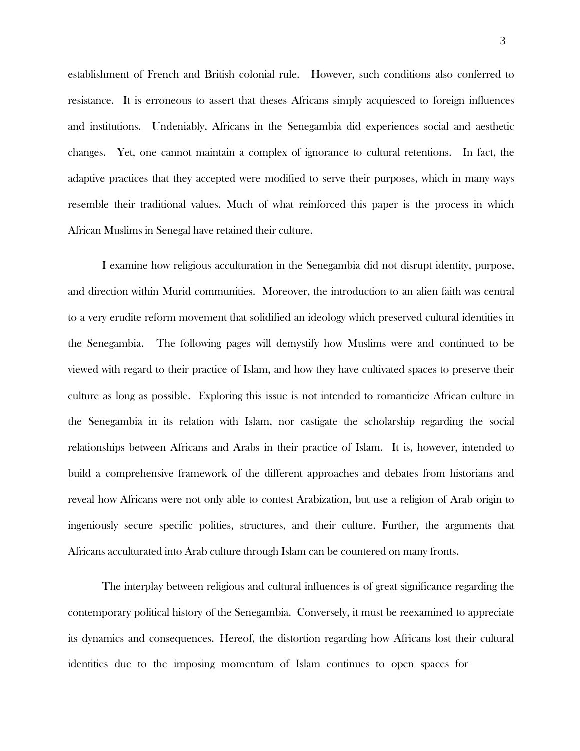establishment of French and British colonial rule. However, such conditions also conferred to resistance. It is erroneous to assert that theses Africans simply acquiesced to foreign influences and institutions. Undeniably, Africans in the Senegambia did experiences social and aesthetic changes. Yet, one cannot maintain a complex of ignorance to cultural retentions. In fact, the adaptive practices that they accepted were modified to serve their purposes, which in many ways resemble their traditional values. Much of what reinforced this paper is the process in which African Muslims in Senegal have retained their culture.

I examine how religious acculturation in the Senegambia did not disrupt identity, purpose, and direction within Murid communities. Moreover, the introduction to an alien faith was central to a very erudite reform movement that solidified an ideology which preserved cultural identities in the Senegambia. The following pages will demystify how Muslims were and continued to be viewed with regard to their practice of Islam, and how they have cultivated spaces to preserve their culture as long as possible. Exploring this issue is not intended to romanticize African culture in the Senegambia in its relation with Islam, nor castigate the scholarship regarding the social relationships between Africans and Arabs in their practice of Islam. It is, however, intended to build a comprehensive framework of the different approaches and debates from historians and reveal how Africans were not only able to contest Arabization, but use a religion of Arab origin to ingeniously secure specific polities, structures, and their culture. Further, the arguments that Africans acculturated into Arab culture through Islam can be countered on many fronts.

The interplay between religious and cultural influences is of great significance regarding the contemporary political history of the Senegambia. Conversely, it must be reexamined to appreciate its dynamics and consequences. Hereof, the distortion regarding how Africans lost their cultural identities due to the imposing momentum of Islam continues to open spaces for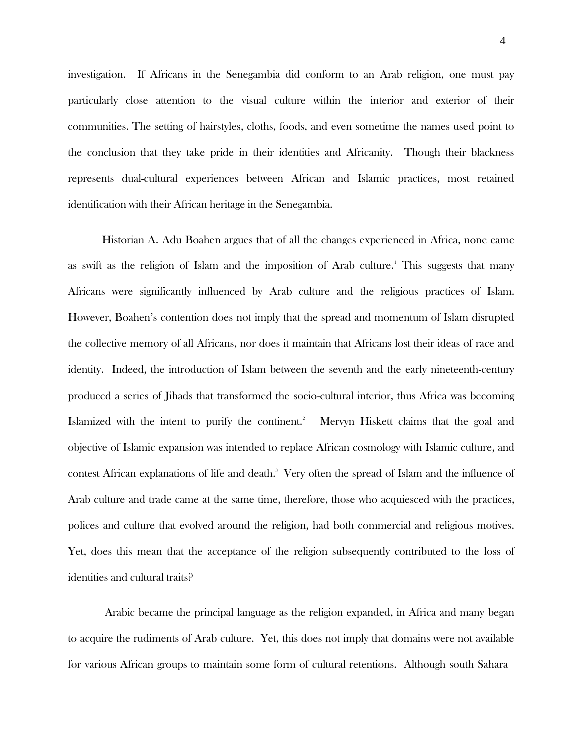investigation. If Africans in the Senegambia did conform to an Arab religion, one must pay particularly close attention to the visual culture within the interior and exterior of their communities. The setting of hairstyles, cloths, foods, and even sometime the names used point to the conclusion that they take pride in their identities and Africanity. Though their blackness represents dual-cultural experiences between African and Islamic practices, most retained identification with their African heritage in the Senegambia.

Historian A. Adu Boahen argues that of all the changes experienced in Africa, none came as swift as the religion of Islam and the imposition of Arab culture. <sup>1</sup>This suggests that many Africans were significantly influenced by Arab culture and the religious practices of Islam. However, Boahen's contention does not imply that the spread and momentum of Islam disrupted the collective memory of all Africans, nor does it maintain that Africans lost their ideas of race and identity. Indeed, the introduction of Islam between the seventh and the early nineteenth-century produced a series of Jihads that transformed the socio-cultural interior, thus Africa was becoming Islamized with the intent to purify the continent. <sup>2</sup>Mervyn Hiskett claims that the goal and objective of Islamic expansion was intended to replace African cosmology with Islamic culture, and contest African explanations of life and death.<sup>3</sup> Very often the spread of Islam and the influence of Arab culture and trade came at the same time, therefore, those who acquiesced with the practices, polices and culture that evolved around the religion, had both commercial and religious motives. Yet, does this mean that the acceptance of the religion subsequently contributed to the loss of identities and cultural traits?

Arabic became the principal language as the religion expanded, in Africa and many began to acquire the rudiments of Arab culture. Yet, this does not imply that domains were not available for various African groups to maintain some form of cultural retentions. Although south Sahara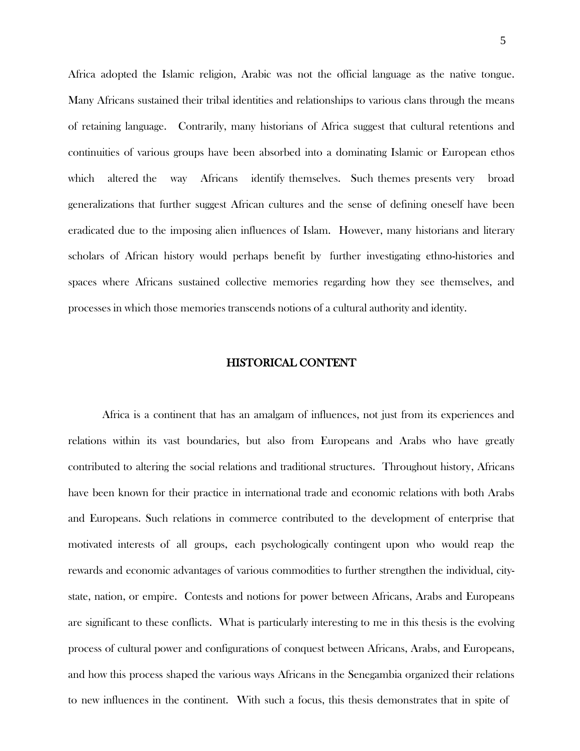Africa adopted the Islamic religion, Arabic was not the official language as the native tongue. Many Africans sustained their tribal identities and relationships to various clans through the means of retaining language. Contrarily, many historians of Africa suggest that cultural retentions and continuities of various groups have been absorbed into a dominating Islamic or European ethos which altered the way Africans identify themselves. Such themes presents very broad generalizations that further suggest African cultures and the sense of defining oneself have been eradicated due to the imposing alien influences of Islam. However, many historians and literary scholars of African history would perhaps benefit by further investigating ethno-histories and spaces where Africans sustained collective memories regarding how they see themselves, and processes in which those memories transcends notions of a cultural authority and identity.

#### HISTORICAL CONTENT

Africa is a continent that has an amalgam of influences, not just from its experiences and relations within its vast boundaries, but also from Europeans and Arabs who have greatly contributed to altering the social relations and traditional structures. Throughout history, Africans have been known for their practice in international trade and economic relations with both Arabs and Europeans. Such relations in commerce contributed to the development of enterprise that motivated interests of all groups, each psychologically contingent upon who would reap the rewards and economic advantages of various commodities to further strengthen the individual, citystate, nation, or empire. Contests and notions for power between Africans, Arabs and Europeans are significant to these conflicts. What is particularly interesting to me in this thesis is the evolving process of cultural power and configurations of conquest between Africans, Arabs, and Europeans, and how this process shaped the various ways Africans in the Senegambia organized their relations to new influences in the continent. With such a focus, this thesis demonstrates that in spite of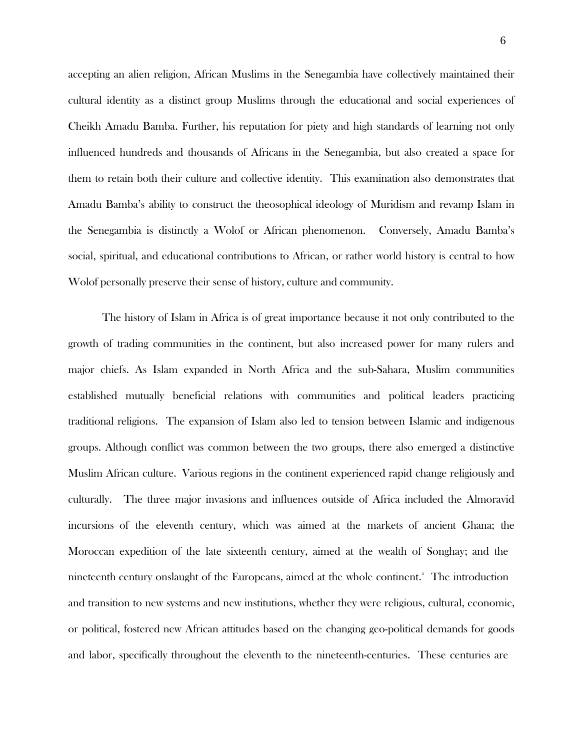accepting an alien religion, African Muslims in the Senegambia have collectively maintained their cultural identity as a distinct group Muslims through the educational and social experiences of Cheikh Amadu Bamba. Further, his reputation for piety and high standards of learning not only influenced hundreds and thousands of Africans in the Senegambia, but also created a space for them to retain both their culture and collective identity. This examination also demonstrates that Amadu Bamba's ability to construct the theosophical ideology of Muridism and revamp Islam in the Senegambia is distinctly a Wolof or African phenomenon. Conversely, Amadu Bamba's social, spiritual, and educational contributions to African, or rather world history is central to how Wolof personally preserve their sense of history, culture and community.

The history of Islam in Africa is of great importance because it not only contributed to the growth of trading communities in the continent, but also increased power for many rulers and major chiefs. As Islam expanded in North Africa and the sub-Sahara, Muslim communities established mutually beneficial relations with communities and political leaders practicing traditional religions. The expansion of Islam also led to tension between Islamic and indigenous groups. Although conflict was common between the two groups, there also emerged a distinctive Muslim African culture. Various regions in the continent experienced rapid change religiously and culturally. The three major invasions and influences outside of Africa included the Almoravid incursions of the eleventh century, which was aimed at the markets of ancient Ghana; the Moroccan expedition of the late sixteenth century, aimed at the wealth of Songhay; and the nineteenth century onslaught of the Europeans, aimed at the whole continent.<sup>4</sup> The introduction and transition to new systems and new institutions, whether they were religious, cultural, economic, or political, fostered new African attitudes based on the changing geo-political demands for goods and labor, specifically throughout the eleventh to the nineteenth-centuries. These centuries are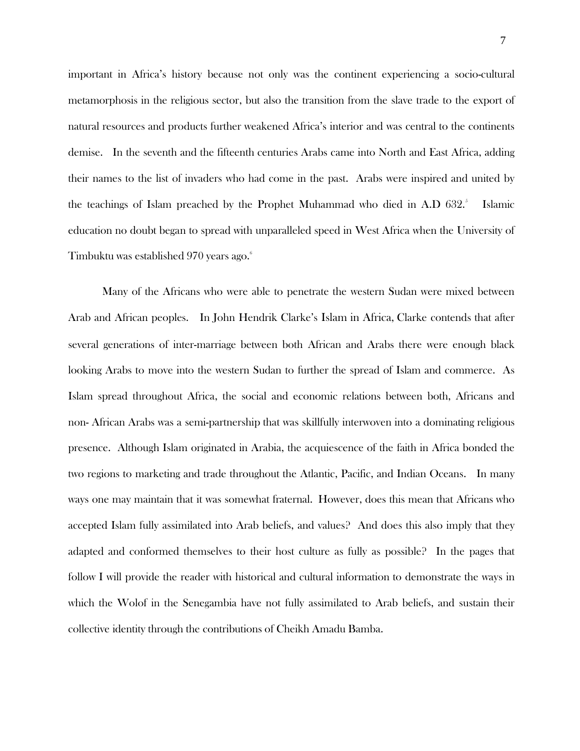important in Africa's history because not only was the continent experiencing a socio-cultural metamorphosis in the religious sector, but also the transition from the slave trade to the export of natural resources and products further weakened Africa's interior and was central to the continents demise. In the seventh and the fifteenth centuries Arabs came into North and East Africa, adding their names to the list of invaders who had come in the past. Arabs were inspired and united by the teachings of Islam preached by the Prophet Muhammad who died in A.D 632. **I**slamic education no doubt began to spread with unparalleled speed in West Africa when the University of Timbuktu was established 970 years ago. 6

Many of the Africans who were able to penetrate the western Sudan were mixed between Arab and African peoples. In John Hendrik Clarke's Islam in Africa, Clarke contends that after several generations of inter-marriage between both African and Arabs there were enough black looking Arabs to move into the western Sudan to further the spread of Islam and commerce. As Islam spread throughout Africa, the social and economic relations between both, Africans and non- African Arabs was a semi-partnership that was skillfully interwoven into a dominating religious presence. Although Islam originated in Arabia, the acquiescence of the faith in Africa bonded the two regions to marketing and trade throughout the Atlantic, Pacific, and Indian Oceans. In many ways one may maintain that it was somewhat fraternal. However, does this mean that Africans who accepted Islam fully assimilated into Arab beliefs, and values? And does this also imply that they adapted and conformed themselves to their host culture as fully as possible? In the pages that follow I will provide the reader with historical and cultural information to demonstrate the ways in which the Wolof in the Senegambia have not fully assimilated to Arab beliefs, and sustain their collective identity through the contributions of Cheikh Amadu Bamba.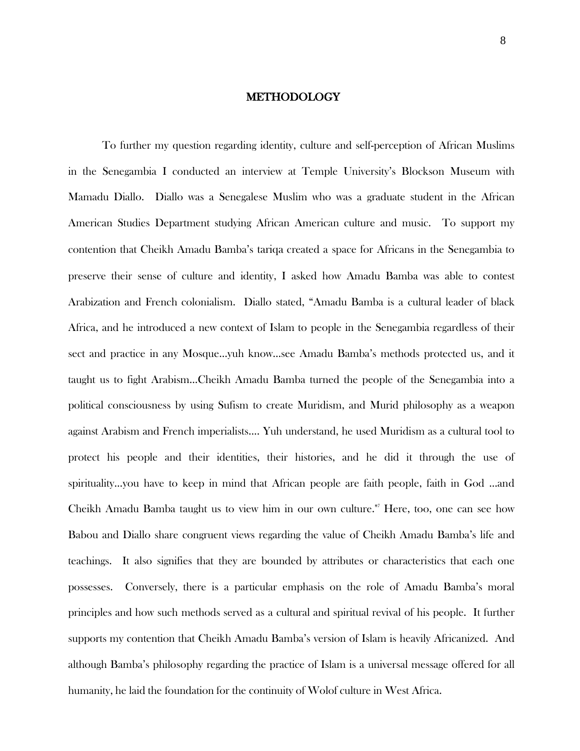#### METHODOLOGY

To further my question regarding identity, culture and self-perception of African Muslims in the Senegambia I conducted an interview at Temple University's Blockson Museum with Mamadu Diallo. Diallo was a Senegalese Muslim who was a graduate student in the African American Studies Department studying African American culture and music. To support my contention that Cheikh Amadu Bamba's tariqa created a space for Africans in the Senegambia to preserve their sense of culture and identity, I asked how Amadu Bamba was able to contest Arabization and French colonialism. Diallo stated, "Amadu Bamba is a cultural leader of black Africa, and he introduced a new context of Islam to people in the Senegambia regardless of their sect and practice in any Mosque…yuh know…see Amadu Bamba's methods protected us, and it taught us to fight Arabism…Cheikh Amadu Bamba turned the people of the Senegambia into a political consciousness by using Sufism to create Muridism, and Murid philosophy as a weapon against Arabism and French imperialists…. Yuh understand, he used Muridism as a cultural tool to protect his people and their identities, their histories, and he did it through the use of spirituality…you have to keep in mind that African people are faith people, faith in God …and Cheikh Amadu Bamba taught us to view him in our own culture." <sup>7</sup>Here, too, one can see how Babou and Diallo share congruent views regarding the value of Cheikh Amadu Bamba's life and teachings. It also signifies that they are bounded by attributes or characteristics that each one possesses. Conversely, there is a particular emphasis on the role of Amadu Bamba's moral principles and how such methods served as a cultural and spiritual revival of his people. It further supports my contention that Cheikh Amadu Bamba's version of Islam is heavily Africanized. And although Bamba's philosophy regarding the practice of Islam is a universal message offered for all humanity, he laid the foundation for the continuity of Wolof culture in West Africa.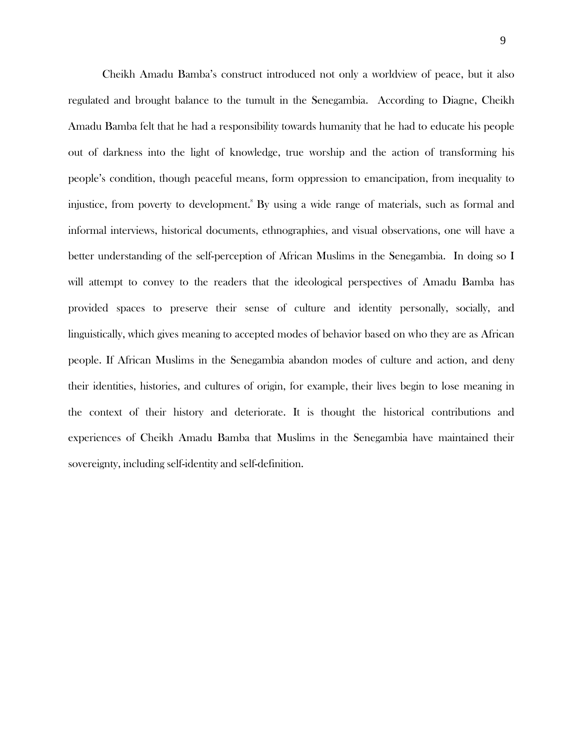Cheikh Amadu Bamba's construct introduced not only a worldview of peace, but it also regulated and brought balance to the tumult in the Senegambia. According to Diagne, Cheikh Amadu Bamba felt that he had a responsibility towards humanity that he had to educate his people out of darkness into the light of knowledge, true worship and the action of transforming his people's condition, though peaceful means, form oppression to emancipation, from inequality to injustice, from poverty to development. <sup>8</sup>By using a wide range of materials, such as formal and informal interviews, historical documents, ethnographies, and visual observations, one will have a better understanding of the self-perception of African Muslims in the Senegambia. In doing so I will attempt to convey to the readers that the ideological perspectives of Amadu Bamba has provided spaces to preserve their sense of culture and identity personally, socially, and linguistically, which gives meaning to accepted modes of behavior based on who they are as African people. If African Muslims in the Senegambia abandon modes of culture and action, and deny their identities, histories, and cultures of origin, for example, their lives begin to lose meaning in the context of their history and deteriorate. It is thought the historical contributions and experiences of Cheikh Amadu Bamba that Muslims in the Senegambia have maintained their sovereignty, including self-identity and self-definition.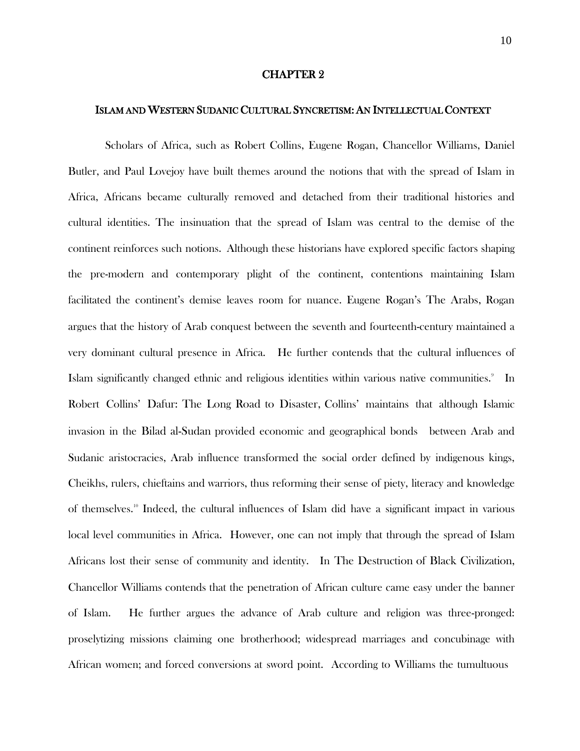#### CHAPTER 2

#### ISLAM AND WESTERN SUDANIC CULTURAL SYNCRETISM: AN INTELLECTUAL CONTEXT

Scholars of Africa, such as Robert Collins, Eugene Rogan, Chancellor Williams, Daniel Butler, and Paul Lovejoy have built themes around the notions that with the spread of Islam in Africa, Africans became culturally removed and detached from their traditional histories and cultural identities. The insinuation that the spread of Islam was central to the demise of the continent reinforces such notions. Although these historians have explored specific factors shaping the pre-modern and contemporary plight of the continent, contentions maintaining Islam facilitated the continent's demise leaves room for nuance. Eugene Rogan's The Arabs, Rogan argues that the history of Arab conquest between the seventh and fourteenth-century maintained a very dominant cultural presence in Africa. He further contends that the cultural influences of Islam significantly changed ethnic and religious identities within various native communities. In Robert Collins' Dafur: The Long Road to Disaster, Collins' maintains that although Islamic invasion in the Bilad al-Sudan provided economic and geographical bonds between Arab and Sudanic aristocracies, Arab influence transformed the social order defined by indigenous kings, Cheikhs, rulers, chieftains and warriors, thus reforming their sense of piety, literacy and knowledge of themselves.<sup>10</sup> Indeed, the cultural influences of Islam did have a significant impact in various local level communities in Africa. However, one can not imply that through the spread of Islam Africans lost their sense of community and identity. In The Destruction of Black Civilization, Chancellor Williams contends that the penetration of African culture came easy under the banner of Islam. He further argues the advance of Arab culture and religion was three-pronged: proselytizing missions claiming one brotherhood; widespread marriages and concubinage with African women; and forced conversions at sword point. According to Williams the tumultuous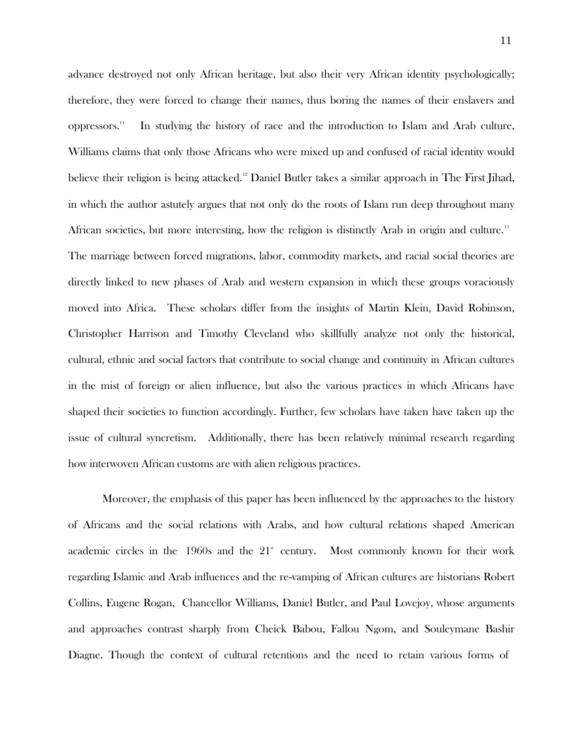advance destroyed not only African heritage, but also their very African identity psychologically; therefore, they were forced to change their names, thus boring the names of their enslavers and oppressors. In studying the history of race and the introduction to Islam and Arab culture, Williams claims that only those Africans who were mixed up and confused of racial identity would believe their religion is being attacked.<sup>12</sup> Daniel Butler takes a similar approach in The First Jihad, in which the author astutely argues that not only do the roots of Islam run deep throughout many African societies, but more interesting, how the religion is distinctly Arab in origin and culture.<sup>13</sup> The marriage between forced migrations, labor, commodity markets, and racial social theories are directly linked to new phases of Arab and western expansion in which these groups voraciously moved into Africa. These scholars differ from the insights of Martin Klein, David Robinson, Christopher Harrison and Timothy Cleveland who skillfully analyze not only the historical, cultural, ethnic and social factors that contribute to social change and continuity in African cultures in the mist of foreign or alien influence, but also the various practices in which Africans have shaped their societies to function accordingly. Further, few scholars have taken have taken up the issue of cultural syncretism. Additionally, there has been relatively minimal research regarding how interwoven African customs are with alien religious practices.

Moreover, the emphasis of this paper has been influenced by the approaches to the history of Africans and the social relations with Arabs, and how cultural relations shaped American academic circles in the  $1960s$  and the  $21<sup>*</sup>$ Most commonly known for their work regarding Islamic and Arab influences and the re-vamping of African cultures are historians Robert Collins, Eugene Rogan, Chancellor Williams, Daniel Butler, and Paul Lovejoy, whose arguments and approaches contrast sharply from Cheick Babou, Fallou Ngom, and Souleymane Bashir Diagne. Though the context of cultural retentions and the need to retain various forms of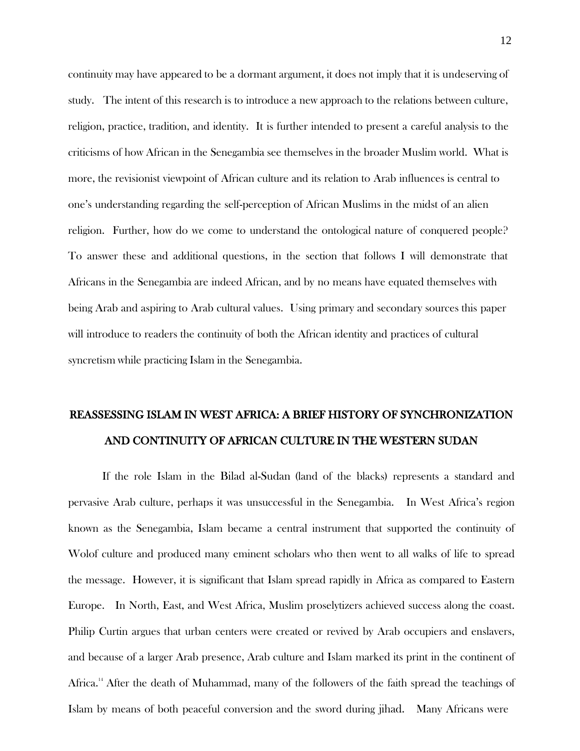continuity may have appeared to be a dormant argument, it does not imply that it is undeserving of study. The intent of this research is to introduce a new approach to the relations between culture, religion, practice, tradition, and identity. It is further intended to present a careful analysis to the criticisms of how African in the Senegambia see themselves in the broader Muslim world. What is more, the revisionist viewpoint of African culture and its relation to Arab influences is central to one's understanding regarding the self-perception of African Muslims in the midst of an alien religion. Further, how do we come to understand the ontological nature of conquered people? To answer these and additional questions, in the section that follows I will demonstrate that Africans in the Senegambia are indeed African, and by no means have equated themselves with being Arab and aspiring to Arab cultural values. Using primary and secondary sources this paper will introduce to readers the continuity of both the African identity and practices of cultural syncretism while practicing Islam in the Senegambia.

# REASSESSING ISLAM IN WEST AFRICA: A BRIEF HISTORY OF SYNCHRONIZATION AND CONTINUITY OF AFRICAN CULTURE IN THE WESTERN SUDAN

If the role Islam in the Bilad al-Sudan (land of the blacks) represents a standard and pervasive Arab culture, perhaps it was unsuccessful in the Senegambia. In West Africa's region known as the Senegambia, Islam became a central instrument that supported the continuity of Wolof culture and produced many eminent scholars who then went to all walks of life to spread the message. However, it is significant that Islam spread rapidly in Africa as compared to Eastern Europe. In North, East, and West Africa, Muslim proselytizers achieved success along the coast. Philip Curtin argues that urban centers were created or revived by Arab occupiers and enslavers, and because of a larger Arab presence, Arab culture and Islam marked its print in the continent of Africa.<sup>14</sup> After the death of Muhammad, many of the followers of the faith spread the teachings of Islam by means of both peaceful conversion and the sword during jihad. Many Africans were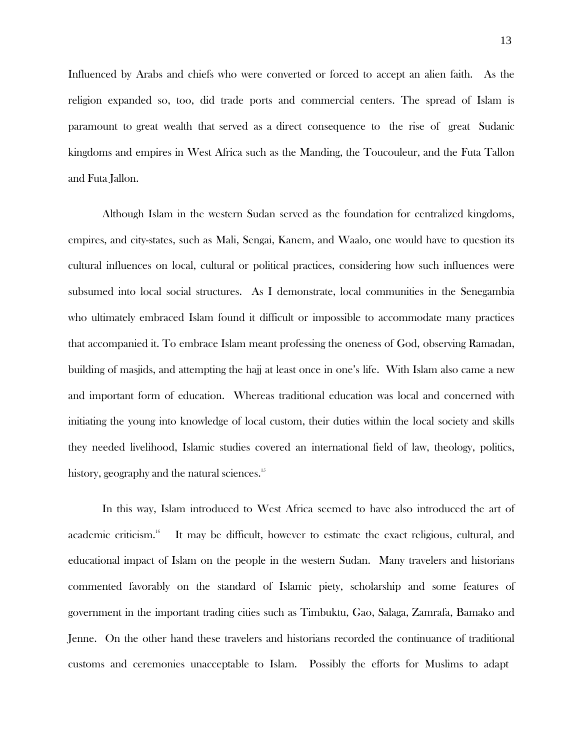Influenced by Arabs and chiefs who were converted or forced to accept an alien faith. As the religion expanded so, too, did trade ports and commercial centers. The spread of Islam is paramount to great wealth that served as a direct consequence to the rise of great Sudanic kingdoms and empires in West Africa such as the Manding, the Toucouleur, and the Futa Tallon and Futa Jallon.

Although Islam in the western Sudan served as the foundation for centralized kingdoms, empires, and city-states, such as Mali, Sengai, Kanem, and Waalo, one would have to question its cultural influences on local, cultural or political practices, considering how such influences were subsumed into local social structures. As I demonstrate, local communities in the Senegambia who ultimately embraced Islam found it difficult or impossible to accommodate many practices that accompanied it. To embrace Islam meant professing the oneness of God, observing Ramadan, building of masjids, and attempting the hajj at least once in one's life. With Islam also came a new and important form of education. Whereas traditional education was local and concerned with initiating the young into knowledge of local custom, their duties within the local society and skills they needed livelihood, Islamic studies covered an international field of law, theology, politics, history, geography and the natural sciences. 15

In this way, Islam introduced to West Africa seemed to have also introduced the art of academic criticism. It may be difficult, however to estimate the exact religious, cultural, and educational impact of Islam on the people in the western Sudan. Many travelers and historians commented favorably on the standard of Islamic piety, scholarship and some features of government in the important trading cities such as Timbuktu, Gao, Salaga, Zamrafa, Bamako and Jenne. On the other hand these travelers and historians recorded the continuance of traditional customs and ceremonies unacceptable to Islam. Possibly the efforts for Muslims to adapt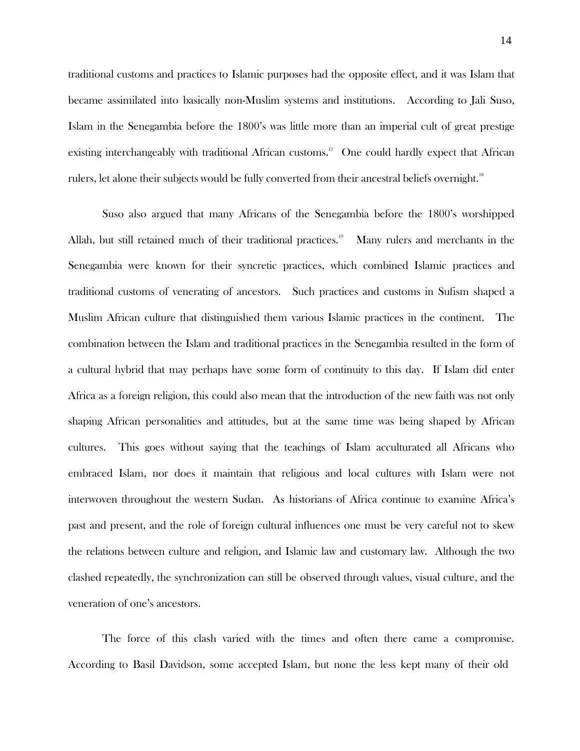traditional customs and practices to Islamic purposes had the opposite effect, and it was Islam that became assimilated into basically non-Muslim systems and institutions. According to Jali Suso, Islam in the Senegambia before the 1800's was little more than an imperial cult of great prestige existing interchangeably with traditional African customs.<sup>17</sup> One could hardly expect that African rulers, let alone their subjects would be fully converted from their ancestral beliefs overnight.<sup>18</sup>

Suso also argued that many Africans of the Senegambia before the 1800's worshipped Allah, but still retained much of their traditional practices.<sup>19</sup> Many rulers and merchants in the Senegambia were known for their syncretic practices, which combined Islamic practices and traditional customs of venerating of ancestors. Such practices and customs in Sufism shaped a Muslim African culture that distinguished them various Islamic practices in the continent. The combination between the Islam and traditional practices in the Senegambia resulted in the form of a cultural hybrid that may perhaps have some form of continuity to this day. If Islam did enter Africa as a foreign religion, this could also mean that the introduction of the new faith was not only shaping African personalities and attitudes, but at the same time was being shaped by African cultures. This goes without saying that the teachings of Islam acculturated all Africans who embraced Islam, nor does it maintain that religious and local cultures with Islam were not interwoven throughout the western Sudan. As historians of Africa continue to examine Africa's past and present, and the role of foreign cultural influences one must be very careful not to skew the relations between culture and religion, and Islamic law and customary law. Although the two clashed repeatedly, the synchronization can still be observed through values, visual culture, and the veneration of one's ancestors.

The force of this clash varied with the times and often there came a compromise. According to Basil Davidson, some accepted Islam, but none the less kept many of their old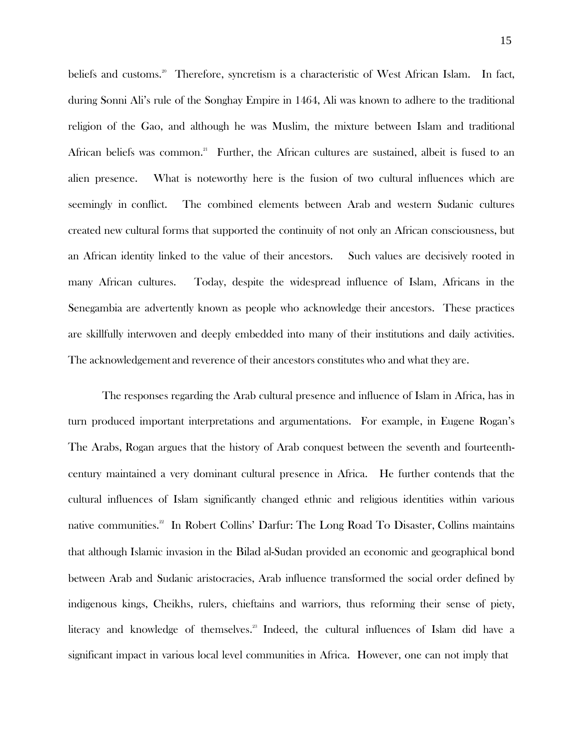beliefs and customs.<sup>20</sup> Therefore, syncretism is a characteristic of West African Islam. In fact, during Sonni Ali's rule of the Songhay Empire in 1464, Ali was known to adhere to the traditional religion of the Gao, and although he was Muslim, the mixture between Islam and traditional African beliefs was common.<sup>21</sup> Further, the African cultures are sustained, albeit is fused to an alien presence. What is noteworthy here is the fusion of two cultural influences which are seemingly in conflict. The combined elements between Arab and western Sudanic cultures created new cultural forms that supported the continuity of not only an African consciousness, but an African identity linked to the value of their ancestors. Such values are decisively rooted in many African cultures. Today, despite the widespread influence of Islam, Africans in the Senegambia are advertently known as people who acknowledge their ancestors. These practices are skillfully interwoven and deeply embedded into many of their institutions and daily activities. The acknowledgement and reverence of their ancestors constitutes who and what they are.

The responses regarding the Arab cultural presence and influence of Islam in Africa, has in turn produced important interpretations and argumentations. For example, in Eugene Rogan's The Arabs, Rogan argues that the history of Arab conquest between the seventh and fourteenthcentury maintained a very dominant cultural presence in Africa. He further contends that the cultural influences of Islam significantly changed ethnic and religious identities within various native communities.<sup>22</sup> In Robert Collins' Darfur: The Long Road To Disaster, Collins maintains that although Islamic invasion in the Bilad al-Sudan provided an economic and geographical bond between Arab and Sudanic aristocracies, Arab influence transformed the social order defined by indigenous kings, Cheikhs, rulers, chieftains and warriors, thus reforming their sense of piety, literacy and knowledge of themselves.<sup>23</sup> Indeed, the cultural influences of Islam did have a significant impact in various local level communities in Africa. However, one can not imply that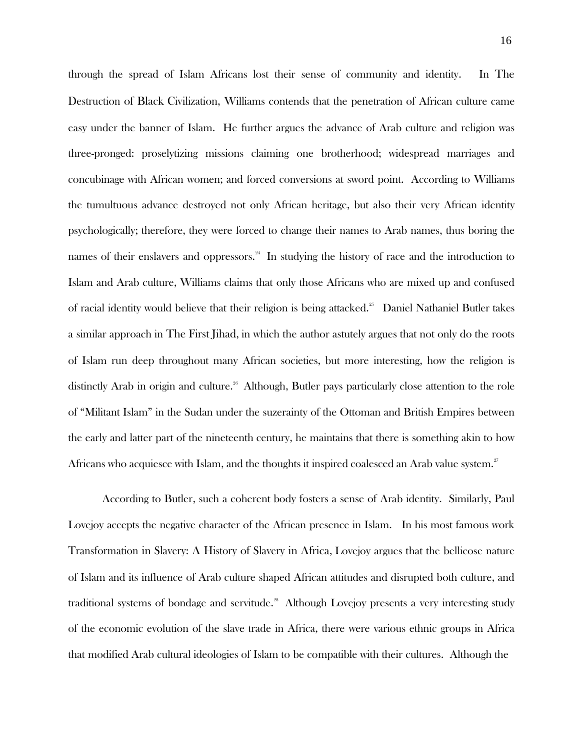through the spread of Islam Africans lost their sense of community and identity. In The Destruction of Black Civilization, Williams contends that the penetration of African culture came easy under the banner of Islam. He further argues the advance of Arab culture and religion was three-pronged: proselytizing missions claiming one brotherhood; widespread marriages and concubinage with African women; and forced conversions at sword point. According to Williams the tumultuous advance destroyed not only African heritage, but also their very African identity psychologically; therefore, they were forced to change their names to Arab names, thus boring the names of their enslavers and oppressors.<sup>24</sup> In studying the history of race and the introduction to Islam and Arab culture, Williams claims that only those Africans who are mixed up and confused of racial identity would believe that their religion is being attacked.<sup>25</sup> Daniel Nathaniel Butler takes a similar approach in The First Jihad, in which the author astutely argues that not only do the roots of Islam run deep throughout many African societies, but more interesting, how the religion is distinctly Arab in origin and culture.<sup>26</sup> Although, Butler pays particularly close attention to the role of "Militant Islam" in the Sudan under the suzerainty of the Ottoman and British Empires between the early and latter part of the nineteenth century, he maintains that there is something akin to how Africans who acquiesce with Islam, and the thoughts it inspired coalesced an Arab value system. $^{27}$ 

According to Butler, such a coherent body fosters a sense of Arab identity. Similarly, Paul Lovejoy accepts the negative character of the African presence in Islam. In his most famous work Transformation in Slavery: A History of Slavery in Africa, Lovejoy argues that the bellicose nature of Islam and its influence of Arab culture shaped African attitudes and disrupted both culture, and traditional systems of bondage and servitude.<sup>28</sup> Although Lovejoy presents a very interesting study of the economic evolution of the slave trade in Africa, there were various ethnic groups in Africa that modified Arab cultural ideologies of Islam to be compatible with their cultures. Although the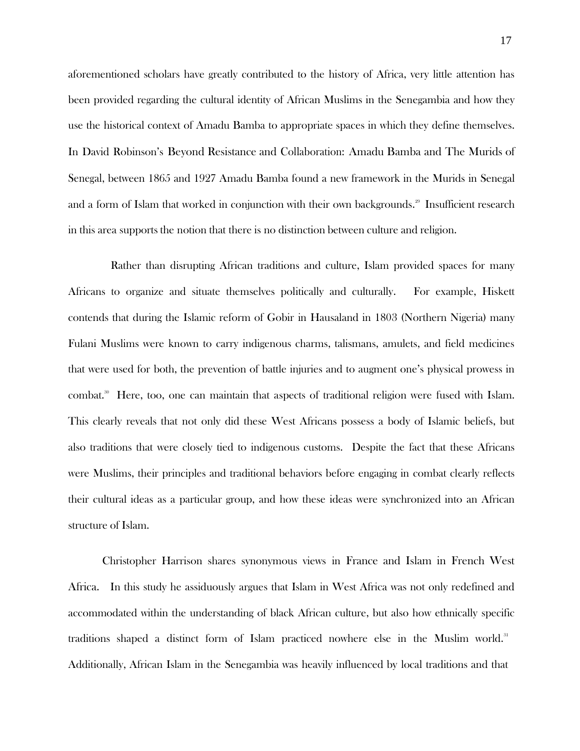aforementioned scholars have greatly contributed to the history of Africa, very little attention has been provided regarding the cultural identity of African Muslims in the Senegambia and how they use the historical context of Amadu Bamba to appropriate spaces in which they define themselves. In David Robinson's Beyond Resistance and Collaboration: Amadu Bamba and The Murids of Senegal, between 1865 and 1927 Amadu Bamba found a new framework in the Murids in Senegal and a form of Islam that worked in conjunction with their own backgrounds. $^{29}$  Insufficient research in this area supports the notion that there is no distinction between culture and religion.

Rather than disrupting African traditions and culture, Islam provided spaces for many Africans to organize and situate themselves politically and culturally. For example, Hiskett contends that during the Islamic reform of Gobir in Hausaland in 1803 (Northern Nigeria) many Fulani Muslims were known to carry indigenous charms, talismans, amulets, and field medicines that were used for both, the prevention of battle injuries and to augment one's physical prowess in combat.<sup>30</sup> Here, too, one can maintain that aspects of traditional religion were fused with Islam. This clearly reveals that not only did these West Africans possess a body of Islamic beliefs, but also traditions that were closely tied to indigenous customs. Despite the fact that these Africans were Muslims, their principles and traditional behaviors before engaging in combat clearly reflects their cultural ideas as a particular group, and how these ideas were synchronized into an African structure of Islam.

Christopher Harrison shares synonymous views in France and Islam in French West Africa. In this study he assiduously argues that Islam in West Africa was not only redefined and accommodated within the understanding of black African culture, but also how ethnically specific traditions shaped a distinct form of Islam practiced nowhere else in the Muslim world.<sup>31</sup> Additionally, African Islam in the Senegambia was heavily influenced by local traditions and that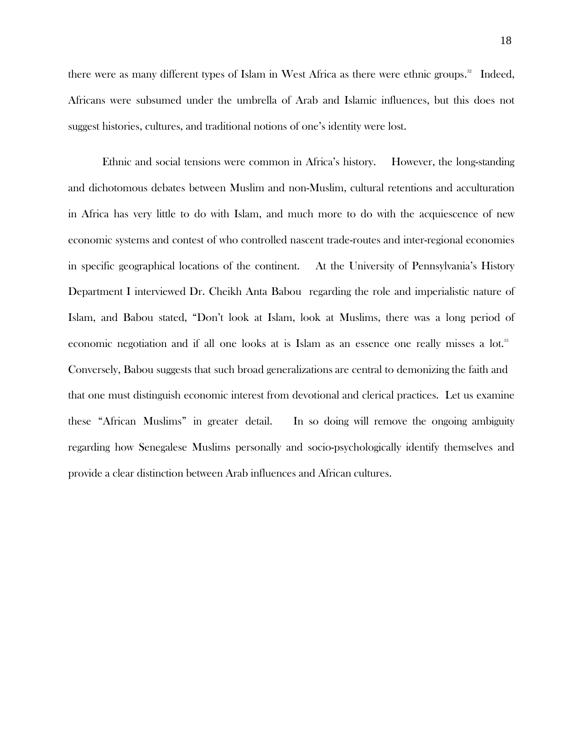there were as many different types of Islam in West Africa as there were ethnic groups.<sup>32</sup> Indeed, Africans were subsumed under the umbrella of Arab and Islamic influences, but this does not suggest histories, cultures, and traditional notions of one's identity were lost.

Ethnic and social tensions were common in Africa's history. However, the long-standing and dichotomous debates between Muslim and non-Muslim, cultural retentions and acculturation in Africa has very little to do with Islam, and much more to do with the acquiescence of new economic systems and contest of who controlled nascent trade-routes and inter-regional economies in specific geographical locations of the continent. At the University of Pennsylvania's History Department I interviewed Dr. Cheikh Anta Babou regarding the role and imperialistic nature of Islam, and Babou stated, "Don't look at Islam, look at Muslims, there was a long period of economic negotiation and if all one looks at is Islam as an essence one really misses a lot.<sup>33</sup> Conversely, Babou suggests that such broad generalizations are central to demonizing the faith and that one must distinguish economic interest from devotional and clerical practices. Let us examine these "African Muslims" in greater detail. In so doing will remove the ongoing ambiguity regarding how Senegalese Muslims personally and socio-psychologically identify themselves and provide a clear distinction between Arab influences and African cultures.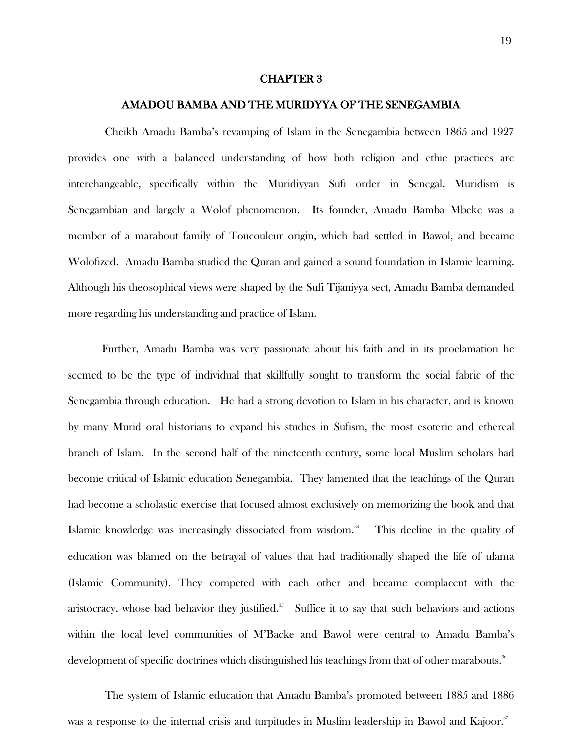#### CHAPTER 3

#### AMADOU BAMBA AND THE MURIDYYA OF THE SENEGAMBIA

Cheikh Amadu Bamba's revamping of Islam in the Senegambia between 1865 and 1927 provides one with a balanced understanding of how both religion and ethic practices are interchangeable, specifically within the Muridiyyan Sufi order in Senegal. Muridism is Senegambian and largely a Wolof phenomenon. Its founder, Amadu Bamba Mbeke was a member of a marabout family of Toucouleur origin, which had settled in Bawol, and became Wolofized. Amadu Bamba studied the Quran and gained a sound foundation in Islamic learning. Although his theosophical views were shaped by the Sufi Tijaniyya sect, Amadu Bamba demanded more regarding his understanding and practice of Islam.

Further, Amadu Bamba was very passionate about his faith and in its proclamation he seemed to be the type of individual that skillfully sought to transform the social fabric of the Senegambia through education. He had a strong devotion to Islam in his character, and is known by many Murid oral historians to expand his studies in Sufism, the most esoteric and ethereal branch of Islam. In the second half of the nineteenth century, some local Muslim scholars had become critical of Islamic education Senegambia. They lamented that the teachings of the Quran had become a scholastic exercise that focused almost exclusively on memorizing the book and that Islamic knowledge was increasingly dissociated from wisdom. This decline in the quality of education was blamed on the betrayal of values that had traditionally shaped the life of ulama (Islamic Community). They competed with each other and became complacent with the aristocracy, whose bad behavior they justified. $35$  Suffice it to say that such behaviors and actions within the local level communities of M'Backe and Bawol were central to Amadu Bamba's development of specific doctrines which distinguished his teachings from that of other marabouts. $^{\textrm{\tiny{36}}}$ 

The system of Islamic education that Amadu Bamba's promoted between 1885 and 1886 was a response to the internal crisis and turpitudes in Muslim leadership in Bawol and Kajoor."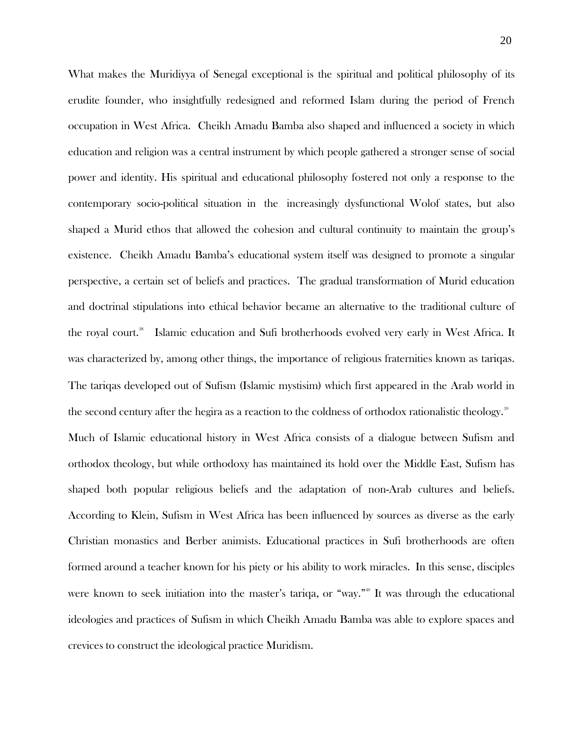What makes the Muridiyya of Senegal exceptional is the spiritual and political philosophy of its erudite founder, who insightfully redesigned and reformed Islam during the period of French occupation in West Africa. Cheikh Amadu Bamba also shaped and influenced a society in which education and religion was a central instrument by which people gathered a stronger sense of social power and identity. His spiritual and educational philosophy fostered not only a response to the contemporary socio-political situation in the increasingly dysfunctional Wolof states, but also shaped a Murid ethos that allowed the cohesion and cultural continuity to maintain the group's existence. Cheikh Amadu Bamba's educational system itself was designed to promote a singular perspective, a certain set of beliefs and practices. The gradual transformation of Murid education and doctrinal stipulations into ethical behavior became an alternative to the traditional culture of the royal court.<sup>38</sup> Islamic education and Sufi brotherhoods evolved very early in West Africa. It was characterized by, among other things, the importance of religious fraternities known as tariqas. The tariqas developed out of Sufism (Islamic mystisim) which first appeared in the Arab world in the second century after the hegira as a reaction to the coldness of orthodox rationalistic theology.<sup>39</sup>

Much of Islamic educational history in West Africa consists of a dialogue between Sufism and orthodox theology, but while orthodoxy has maintained its hold over the Middle East, Sufism has shaped both popular religious beliefs and the adaptation of non-Arab cultures and beliefs. According to Klein, Sufism in West Africa has been influenced by sources as diverse as the early Christian monastics and Berber animists. Educational practices in Sufi brotherhoods are often formed around a teacher known for his piety or his ability to work miracles. In this sense, disciples were known to seek initiation into the master's tariqa, or "way."<sup>40</sup> It was through the educational ideologies and practices of Sufism in which Cheikh Amadu Bamba was able to explore spaces and crevices to construct the ideological practice Muridism.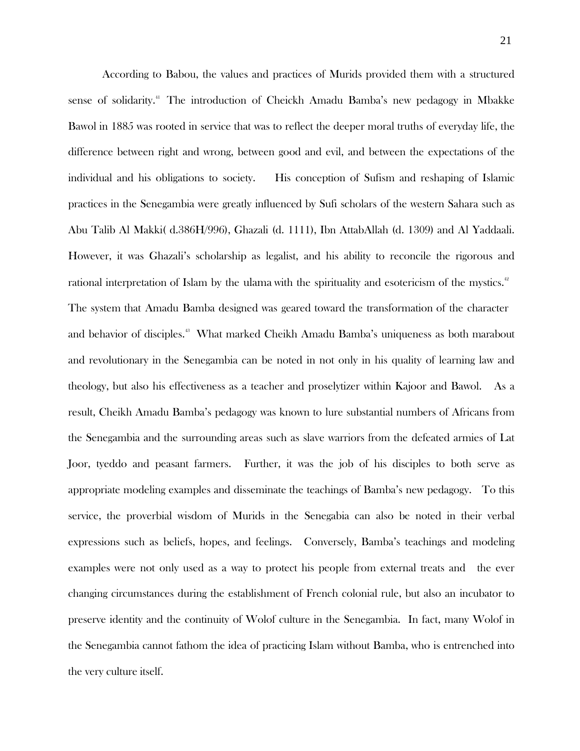According to Babou, the values and practices of Murids provided them with a structured sense of solidarity.<sup>41</sup> The introduction of Cheickh Amadu Bamba's new pedagogy in Mbakke Bawol in 1885 was rooted in service that was to reflect the deeper moral truths of everyday life, the difference between right and wrong, between good and evil, and between the expectations of the individual and his obligations to society. His conception of Sufism and reshaping of Islamic practices in the Senegambia were greatly influenced by Sufi scholars of the western Sahara such as Abu Talib Al Makki( d.386H/996), Ghazali (d. 1111), Ibn AttabAllah (d. 1309) and Al Yaddaali. However, it was Ghazali's scholarship as legalist, and his ability to reconcile the rigorous and rational interpretation of Islam by the ulama with the spirituality and esotericism of the mystics.<sup>42</sup> The system that Amadu Bamba designed was geared toward the transformation of the character and behavior of disciples.<sup>43</sup> What marked Cheikh Amadu Bamba's uniqueness as both marabout and revolutionary in the Senegambia can be noted in not only in his quality of learning law and theology, but also his effectiveness as a teacher and proselytizer within Kajoor and Bawol. As a result, Cheikh Amadu Bamba's pedagogy was known to lure substantial numbers of Africans from the Senegambia and the surrounding areas such as slave warriors from the defeated armies of Lat Joor, tyeddo and peasant farmers. Further, it was the job of his disciples to both serve as appropriate modeling examples and disseminate the teachings of Bamba's new pedagogy. To this service, the proverbial wisdom of Murids in the Senegabia can also be noted in their verbal expressions such as beliefs, hopes, and feelings. Conversely, Bamba's teachings and modeling examples were not only used as a way to protect his people from external treats and the ever changing circumstances during the establishment of French colonial rule, but also an incubator to preserve identity and the continuity of Wolof culture in the Senegambia. In fact, many Wolof in the Senegambia cannot fathom the idea of practicing Islam without Bamba, who is entrenched into the very culture itself.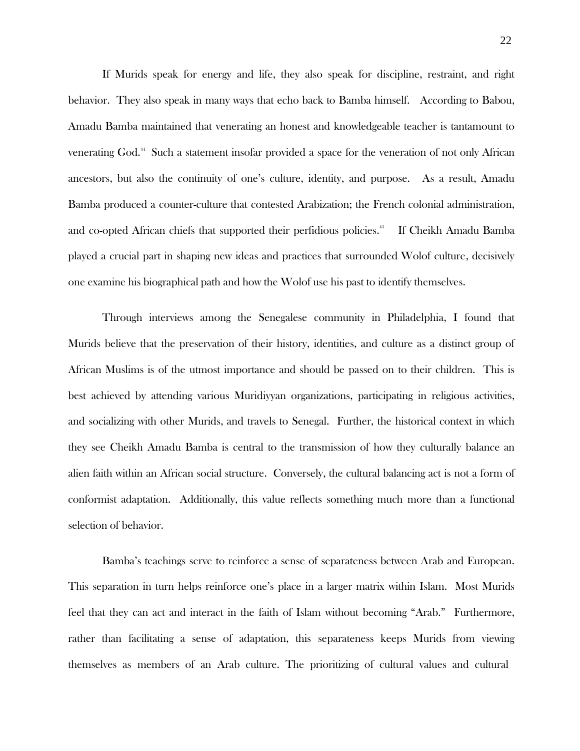If Murids speak for energy and life, they also speak for discipline, restraint, and right behavior. They also speak in many ways that echo back to Bamba himself. According to Babou, Amadu Bamba maintained that venerating an honest and knowledgeable teacher is tantamount to venerating God.<sup>44</sup> Such a statement insofar provided a space for the veneration of not only African ancestors, but also the continuity of one's culture, identity, and purpose. As a result, Amadu Bamba produced a counter-culture that contested Arabization; the French colonial administration, and co-opted African chiefs that supported their perfidious policies.<sup>45</sup> If Cheikh Amadu Bamba played a crucial part in shaping new ideas and practices that surrounded Wolof culture, decisively one examine his biographical path and how the Wolof use his past to identify themselves.

Through interviews among the Senegalese community in Philadelphia, I found that Murids believe that the preservation of their history, identities, and culture as a distinct group of African Muslims is of the utmost importance and should be passed on to their children. This is best achieved by attending various Muridiyyan organizations, participating in religious activities, and socializing with other Murids, and travels to Senegal. Further, the historical context in which they see Cheikh Amadu Bamba is central to the transmission of how they culturally balance an alien faith within an African social structure. Conversely, the cultural balancing act is not a form of conformist adaptation. Additionally, this value reflects something much more than a functional selection of behavior.

Bamba's teachings serve to reinforce a sense of separateness between Arab and European. This separation in turn helps reinforce one's place in a larger matrix within Islam. Most Murids feel that they can act and interact in the faith of Islam without becoming "Arab." Furthermore, rather than facilitating a sense of adaptation, this separateness keeps Murids from viewing themselves as members of an Arab culture. The prioritizing of cultural values and cultural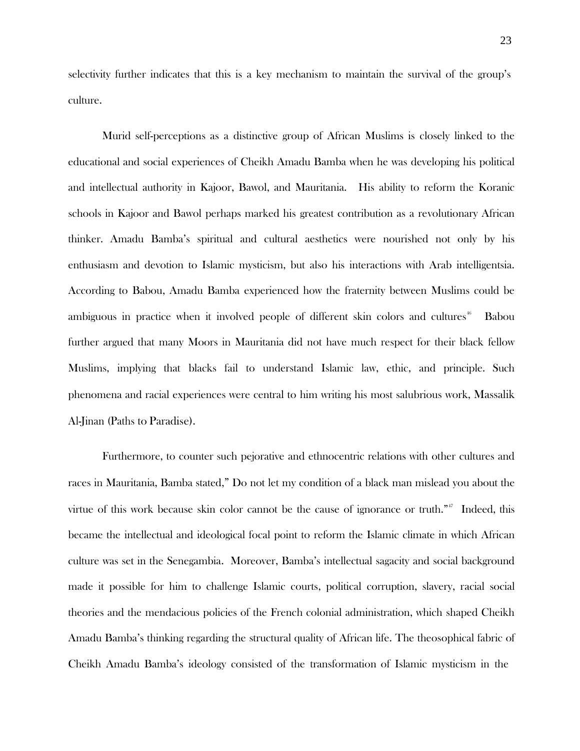selectivity further indicates that this is a key mechanism to maintain the survival of the group's culture.

Murid self-perceptions as a distinctive group of African Muslims is closely linked to the educational and social experiences of Cheikh Amadu Bamba when he was developing his political and intellectual authority in Kajoor, Bawol, and Mauritania. His ability to reform the Koranic schools in Kajoor and Bawol perhaps marked his greatest contribution as a revolutionary African thinker. Amadu Bamba's spiritual and cultural aesthetics were nourished not only by his enthusiasm and devotion to Islamic mysticism, but also his interactions with Arab intelligentsia. According to Babou, Amadu Bamba experienced how the fraternity between Muslims could be ambiguous in practice when it involved people of different skin colors and cultures<sup>46</sup> Babou further argued that many Moors in Mauritania did not have much respect for their black fellow Muslims, implying that blacks fail to understand Islamic law, ethic, and principle. Such phenomena and racial experiences were central to him writing his most salubrious work, Massalik Al-Jinan (Paths to Paradise).

Furthermore, to counter such pejorative and ethnocentric relations with other cultures and races in Mauritania, Bamba stated," Do not let my condition of a black man mislead you about the virtue of this work because skin color cannot be the cause of ignorance or truth."<sup>17</sup> Indeed, this became the intellectual and ideological focal point to reform the Islamic climate in which African culture was set in the Senegambia. Moreover, Bamba's intellectual sagacity and social background made it possible for him to challenge Islamic courts, political corruption, slavery, racial social theories and the mendacious policies of the French colonial administration, which shaped Cheikh Amadu Bamba's thinking regarding the structural quality of African life. The theosophical fabric of Cheikh Amadu Bamba's ideology consisted of the transformation of Islamic mysticism in the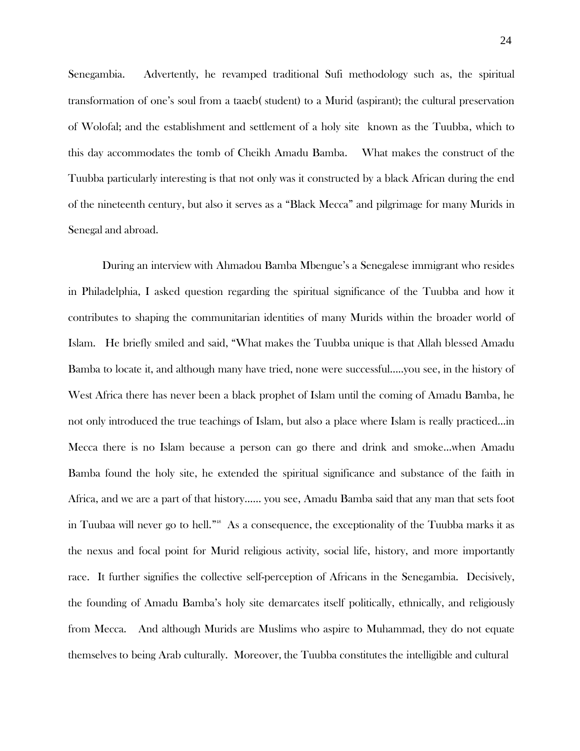Senegambia. Advertently, he revamped traditional Sufi methodology such as, the spiritual transformation of one's soul from a taaeb( student) to a Murid (aspirant); the cultural preservation of Wolofal; and the establishment and settlement of a holy site known as the Tuubba, which to this day accommodates the tomb of Cheikh Amadu Bamba. What makes the construct of the Tuubba particularly interesting is that not only was it constructed by a black African during the end of the nineteenth century, but also it serves as a "Black Mecca" and pilgrimage for many Murids in Senegal and abroad.

During an interview with Ahmadou Bamba Mbengue's a Senegalese immigrant who resides in Philadelphia, I asked question regarding the spiritual significance of the Tuubba and how it contributes to shaping the communitarian identities of many Murids within the broader world of Islam. He briefly smiled and said, "What makes the Tuubba unique is that Allah blessed Amadu Bamba to locate it, and although many have tried, none were successful…..you see, in the history of West Africa there has never been a black prophet of Islam until the coming of Amadu Bamba, he not only introduced the true teachings of Islam, but also a place where Islam is really practiced…in Mecca there is no Islam because a person can go there and drink and smoke…when Amadu Bamba found the holy site, he extended the spiritual significance and substance of the faith in Africa, and we are a part of that history…… you see, Amadu Bamba said that any man that sets foot in Tuubaa will never go to hell."<sup>8</sup> As a consequence, the exceptionality of the Tuubba marks it as the nexus and focal point for Murid religious activity, social life, history, and more importantly race. It further signifies the collective self-perception of Africans in the Senegambia. Decisively, the founding of Amadu Bamba's holy site demarcates itself politically, ethnically, and religiously from Mecca. And although Murids are Muslims who aspire to Muhammad, they do not equate themselves to being Arab culturally. Moreover, the Tuubba constitutes the intelligible and cultural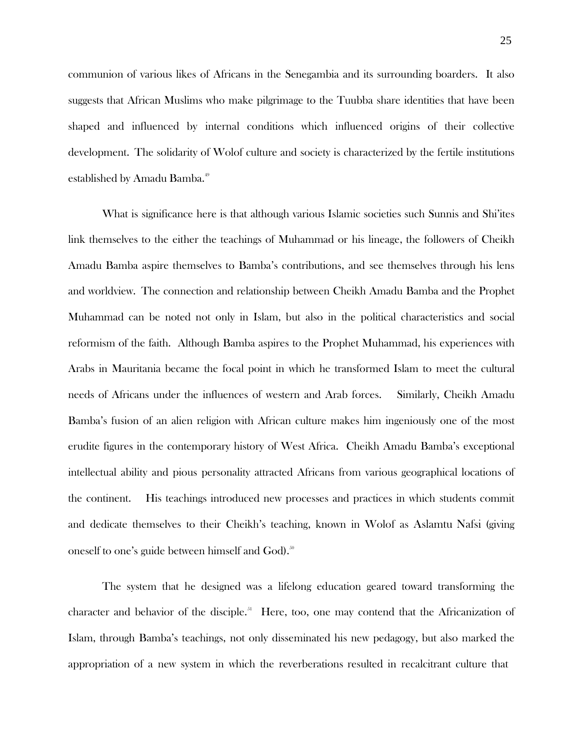communion of various likes of Africans in the Senegambia and its surrounding boarders. It also suggests that African Muslims who make pilgrimage to the Tuubba share identities that have been shaped and influenced by internal conditions which influenced origins of their collective development. The solidarity of Wolof culture and society is characterized by the fertile institutions established by Amadu Bamba. 49

What is significance here is that although various Islamic societies such Sunnis and Shi'ites link themselves to the either the teachings of Muhammad or his lineage, the followers of Cheikh Amadu Bamba aspire themselves to Bamba's contributions, and see themselves through his lens and worldview. The connection and relationship between Cheikh Amadu Bamba and the Prophet Muhammad can be noted not only in Islam, but also in the political characteristics and social reformism of the faith. Although Bamba aspires to the Prophet Muhammad, his experiences with Arabs in Mauritania became the focal point in which he transformed Islam to meet the cultural needs of Africans under the influences of western and Arab forces. Similarly, Cheikh Amadu Bamba's fusion of an alien religion with African culture makes him ingeniously one of the most erudite figures in the contemporary history of West Africa. Cheikh Amadu Bamba's exceptional intellectual ability and pious personality attracted Africans from various geographical locations of the continent. His teachings introduced new processes and practices in which students commit and dedicate themselves to their Cheikh's teaching, known in Wolof as Aslamtu Nafsi (giving oneself to one's guide between himself and  $\mathrm{God)}$ .<sup>50</sup>

The system that he designed was a lifelong education geared toward transforming the character and behavior of the disciple.<sup>51</sup> Here, too, one may contend that the Africanization of Islam, through Bamba's teachings, not only disseminated his new pedagogy, but also marked the appropriation of a new system in which the reverberations resulted in recalcitrant culture that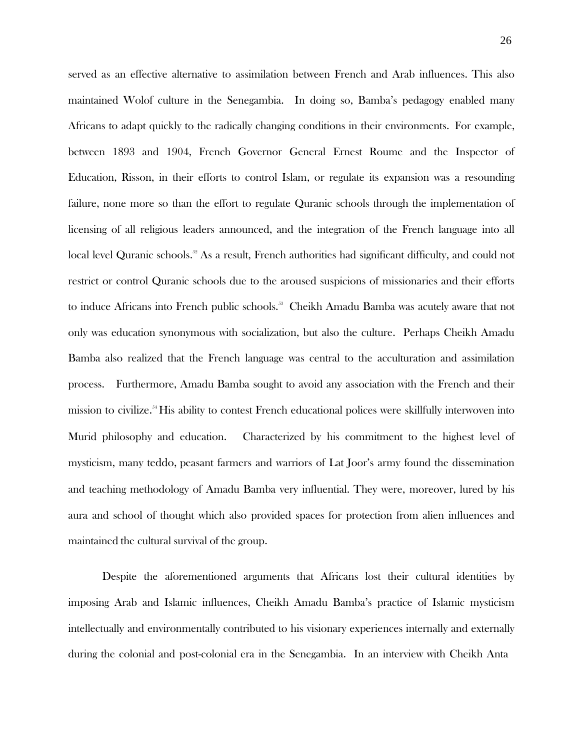served as an effective alternative to assimilation between French and Arab influences. This also maintained Wolof culture in the Senegambia. In doing so, Bamba's pedagogy enabled many Africans to adapt quickly to the radically changing conditions in their environments. For example, between 1893 and 1904, French Governor General Ernest Roume and the Inspector of Education, Risson, in their efforts to control Islam, or regulate its expansion was a resounding failure, none more so than the effort to regulate Quranic schools through the implementation of licensing of all religious leaders announced, and the integration of the French language into all local level Quranic schools.<sup>52</sup> As a result, French authorities had significant difficulty, and could not restrict or control Quranic schools due to the aroused suspicions of missionaries and their efforts to induce Africans into French public schools.<sup>33</sup> Cheikh Amadu Bamba was acutely aware that not only was education synonymous with socialization, but also the culture. Perhaps Cheikh Amadu Bamba also realized that the French language was central to the acculturation and assimilation process. Furthermore, Amadu Bamba sought to avoid any association with the French and their mission to civilize. <sup>54</sup> His ability to contest French educational polices were skillfully interwoven into Murid philosophy and education. Characterized by his commitment to the highest level of mysticism, many teddo, peasant farmers and warriors of Lat Joor's army found the dissemination and teaching methodology of Amadu Bamba very influential. They were, moreover, lured by his aura and school of thought which also provided spaces for protection from alien influences and maintained the cultural survival of the group.

Despite the aforementioned arguments that Africans lost their cultural identities by imposing Arab and Islamic influences, Cheikh Amadu Bamba's practice of Islamic mysticism intellectually and environmentally contributed to his visionary experiences internally and externally during the colonial and post-colonial era in the Senegambia. In an interview with Cheikh Anta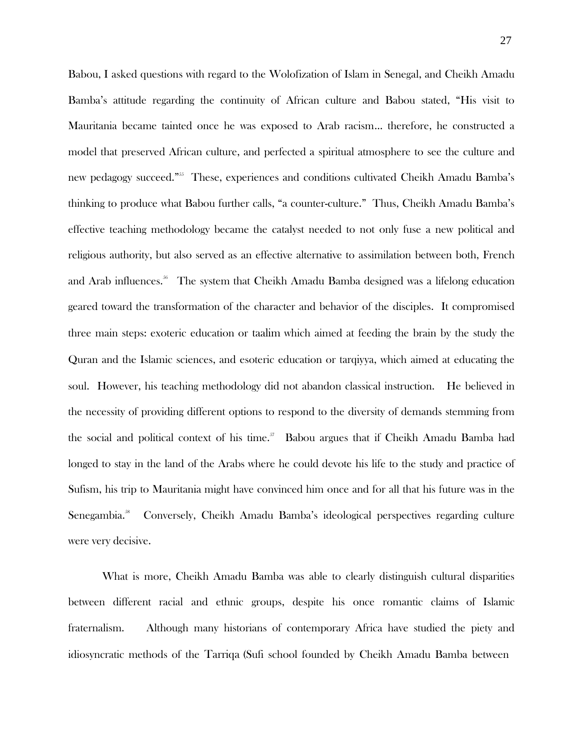Babou, I asked questions with regard to the Wolofization of Islam in Senegal, and Cheikh Amadu Bamba's attitude regarding the continuity of African culture and Babou stated, "His visit to Mauritania became tainted once he was exposed to Arab racism… therefore, he constructed a model that preserved African culture, and perfected a spiritual atmosphere to see the culture and new pedagogy succeed."<sup>555</sup> These, experiences and conditions cultivated Cheikh Amadu Bamba's thinking to produce what Babou further calls, "a counter-culture." Thus, Cheikh Amadu Bamba's effective teaching methodology became the catalyst needed to not only fuse a new political and religious authority, but also served as an effective alternative to assimilation between both, French and Arab influences.<sup>56</sup> The system that Cheikh Amadu Bamba designed was a lifelong education geared toward the transformation of the character and behavior of the disciples. It compromised three main steps: exoteric education or taalim which aimed at feeding the brain by the study the Quran and the Islamic sciences, and esoteric education or tarqiyya, which aimed at educating the soul. However, his teaching methodology did not abandon classical instruction. He believed in the necessity of providing different options to respond to the diversity of demands stemming from the social and political context of his time.<sup>37</sup> Babou argues that if Cheikh Amadu Bamba had longed to stay in the land of the Arabs where he could devote his life to the study and practice of Sufism, his trip to Mauritania might have convinced him once and for all that his future was in the Senegambia. <sup>58</sup>Conversely, Cheikh Amadu Bamba's ideological perspectives regarding culture were very decisive.

What is more, Cheikh Amadu Bamba was able to clearly distinguish cultural disparities between different racial and ethnic groups, despite his once romantic claims of Islamic fraternalism. Although many historians of contemporary Africa have studied the piety and idiosyncratic methods of the Tarriqa (Sufi school founded by Cheikh Amadu Bamba between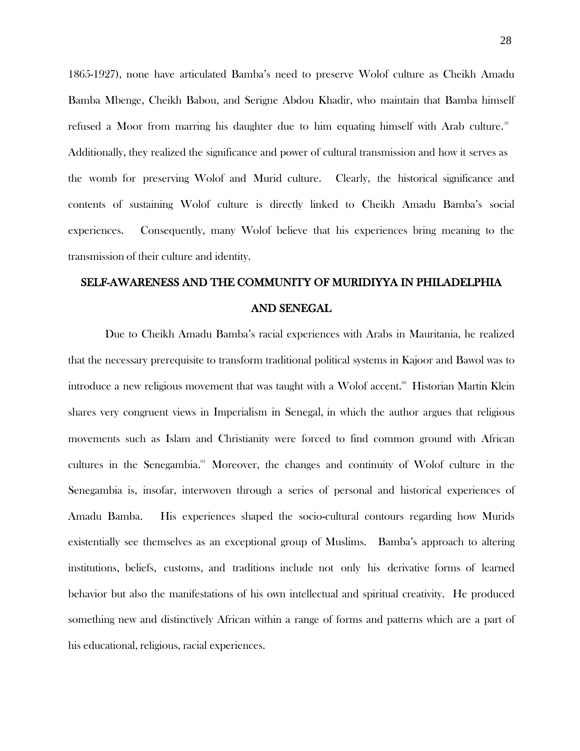1865-1927), none have articulated Bamba's need to preserve Wolof culture as Cheikh Amadu Bamba Mbenge, Cheikh Babou, and Serigne Abdou Khadir, who maintain that Bamba himself refused a Moor from marring his daughter due to him equating himself with Arab culture.<sup>39</sup> Additionally, they realized the significance and power of cultural transmission and how it serves as the womb for preserving Wolof and Murid culture. Clearly, the historical significance and contents of sustaining Wolof culture is directly linked to Cheikh Amadu Bamba's social experiences. Consequently, many Wolof believe that his experiences bring meaning to the transmission of their culture and identity.

# SELF-AWARENESS AND THE COMMUNITY OF MURIDIYYA IN PHILADELPHIA AND SENEGAL

Due to Cheikh Amadu Bamba's racial experiences with Arabs in Mauritania, he realized that the necessary prerequisite to transform traditional political systems in Kajoor and Bawol was to introduce a new religious movement that was taught with a Wolof accent. $^{\circ\circ}$  Historian Martin Klein shares very congruent views in Imperialism in Senegal, in which the author argues that religious movements such as Islam and Christianity were forced to find common ground with African cultures in the Senegambia.<sup>61</sup> Moreover, the changes and continuity of Wolof culture in the Senegambia is, insofar, interwoven through a series of personal and historical experiences of Amadu Bamba. His experiences shaped the socio-cultural contours regarding how Murids existentially see themselves as an exceptional group of Muslims. Bamba's approach to altering institutions, beliefs, customs, and traditions include not only his derivative forms of learned behavior but also the manifestations of his own intellectual and spiritual creativity. He produced something new and distinctively African within a range of forms and patterns which are a part of his educational, religious, racial experiences.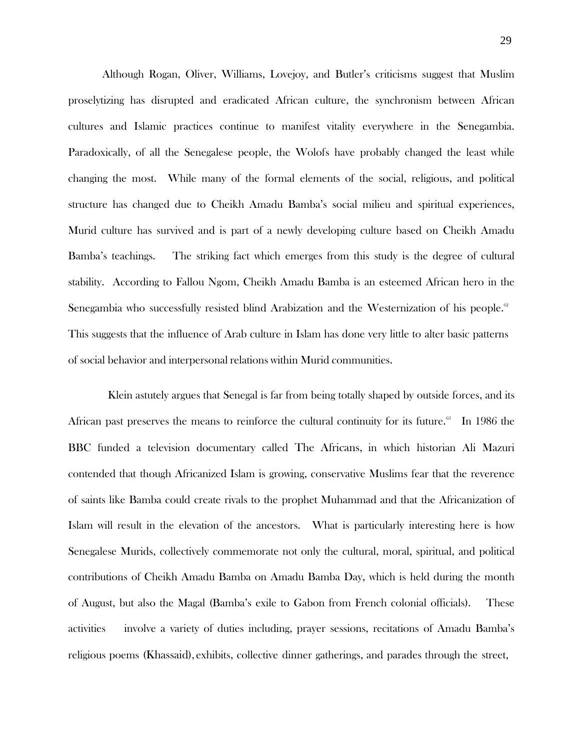Although Rogan, Oliver, Williams, Lovejoy, and Butler's criticisms suggest that Muslim proselytizing has disrupted and eradicated African culture, the synchronism between African cultures and Islamic practices continue to manifest vitality everywhere in the Senegambia. Paradoxically, of all the Senegalese people, the Wolofs have probably changed the least while changing the most. While many of the formal elements of the social, religious, and political structure has changed due to Cheikh Amadu Bamba's social milieu and spiritual experiences, Murid culture has survived and is part of a newly developing culture based on Cheikh Amadu Bamba's teachings. The striking fact which emerges from this study is the degree of cultural stability. According to Fallou Ngom, Cheikh Amadu Bamba is an esteemed African hero in the Senegambia who successfully resisted blind Arabization and the Westernization of his people.<sup>62</sup> This suggests that the influence of Arab culture in Islam has done very little to alter basic patterns of social behavior and interpersonal relations within Murid communities.

Klein astutely argues that Senegal is far from being totally shaped by outside forces, and its African past preserves the means to reinforce the cultural continuity for its future.<sup>83</sup> In 1986 the BBC funded a television documentary called The Africans, in which historian Ali Mazuri contended that though Africanized Islam is growing, conservative Muslims fear that the reverence of saints like Bamba could create rivals to the prophet Muhammad and that the Africanization of Islam will result in the elevation of the ancestors. What is particularly interesting here is how Senegalese Murids, collectively commemorate not only the cultural, moral, spiritual, and political contributions of Cheikh Amadu Bamba on Amadu Bamba Day, which is held during the month of August, but also the Magal (Bamba's exile to Gabon from French colonial officials). These activities involve a variety of duties including, prayer sessions, recitations of Amadu Bamba's religious poems (Khassaid), exhibits, collective dinner gatherings, and parades through the street,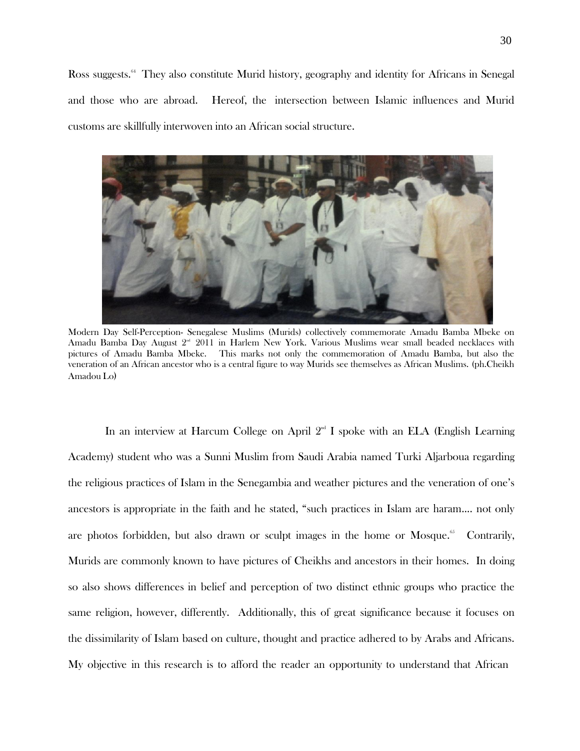Ross suggests.<sup>64</sup> They also constitute Murid history, geography and identity for Africans in Senegal and those who are abroad. Hereof, the intersection between Islamic influences and Murid customs are skillfully interwoven into an African social structure.



Modern Day Self-Perception- Senegalese Muslims (Murids) collectively commemorate Amadu Bamba Mbeke on Amadu Bamba Day August 2<sup>nd</sup> 2011 in Harlem New York. Various Muslims wear small beaded necklaces with pictures of Amadu Bamba Mbeke. This marks not only the commemoration of Amadu Bamba, but also the veneration of an African ancestor who is a central figure to way Murids see themselves as African Muslims. (ph.Cheikh Amadou Lo)

In an interview at Harcum College on April  $2<sup>nd</sup>$  I spoke with an ELA (English Learning Academy) student who was a Sunni Muslim from Saudi Arabia named Turki Aljarboua regarding the religious practices of Islam in the Senegambia and weather pictures and the veneration of one's ancestors is appropriate in the faith and he stated, "such practices in Islam are haram…. not only are photos forbidden, but also drawn or sculpt images in the home or Mosque.<sup>65</sup> Contrarily, Murids are commonly known to have pictures of Cheikhs and ancestors in their homes. In doing so also shows differences in belief and perception of two distinct ethnic groups who practice the same religion, however, differently. Additionally, this of great significance because it focuses on the dissimilarity of Islam based on culture, thought and practice adhered to by Arabs and Africans. My objective in this research is to afford the reader an opportunity to understand that African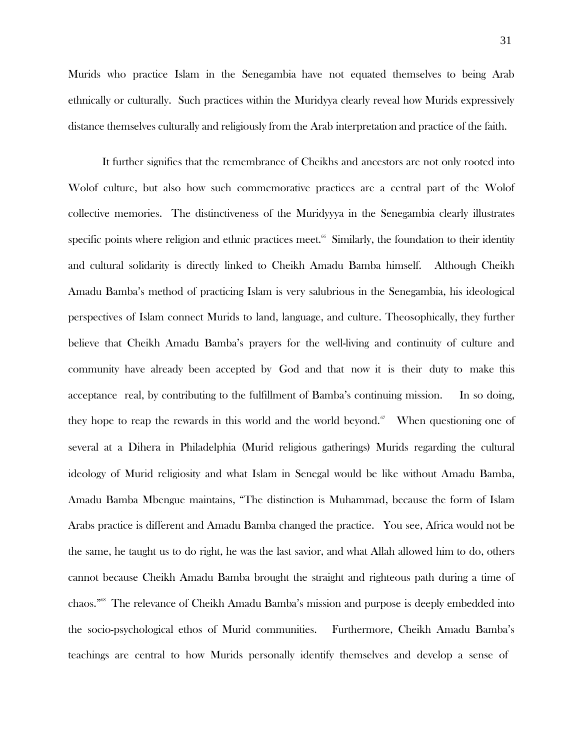Murids who practice Islam in the Senegambia have not equated themselves to being Arab ethnically or culturally. Such practices within the Muridyya clearly reveal how Murids expressively distance themselves culturally and religiously from the Arab interpretation and practice of the faith.

It further signifies that the remembrance of Cheikhs and ancestors are not only rooted into Wolof culture, but also how such commemorative practices are a central part of the Wolof collective memories. The distinctiveness of the Muridyyya in the Senegambia clearly illustrates specific points where religion and ethnic practices meet.<sup> $66$ </sup> Similarly, the foundation to their identity and cultural solidarity is directly linked to Cheikh Amadu Bamba himself. Although Cheikh Amadu Bamba's method of practicing Islam is very salubrious in the Senegambia, his ideological perspectives of Islam connect Murids to land, language, and culture. Theosophically, they further believe that Cheikh Amadu Bamba's prayers for the well-living and continuity of culture and community have already been accepted by God and that now it is their duty to make this acceptance real, by contributing to the fulfillment of Bamba's continuing mission. In so doing, they hope to reap the rewards in this world and the world beyond. $\alpha$ <sup>67</sup> When questioning one of several at a Dihera in Philadelphia (Murid religious gatherings) Murids regarding the cultural ideology of Murid religiosity and what Islam in Senegal would be like without Amadu Bamba, Amadu Bamba Mbengue maintains, "The distinction is Muhammad, because the form of Islam Arabs practice is different and Amadu Bamba changed the practice. You see, Africa would not be the same, he taught us to do right, he was the last savior, and what Allah allowed him to do, others cannot because Cheikh Amadu Bamba brought the straight and righteous path during a time of chaos." <sup>68</sup>The relevance of Cheikh Amadu Bamba's mission and purpose is deeply embedded into the socio-psychological ethos of Murid communities. Furthermore, Cheikh Amadu Bamba's teachings are central to how Murids personally identify themselves and develop a sense of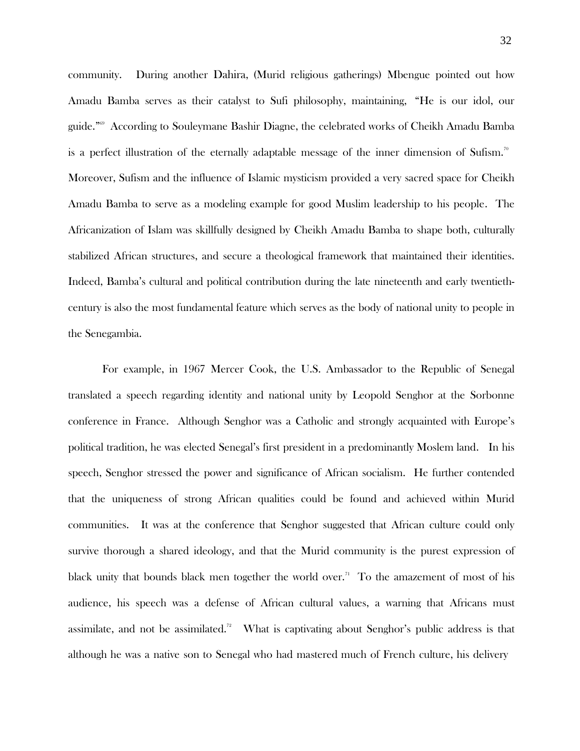community. During another Dahira, (Murid religious gatherings) Mbengue pointed out how Amadu Bamba serves as their catalyst to Sufi philosophy, maintaining, "He is our idol, our guide."69 According to Souleymane Bashir Diagne, the celebrated works of Cheikh Amadu Bamba is a perfect illustration of the eternally adaptable message of the inner dimension of Sufism. $^{70}$ Moreover, Sufism and the influence of Islamic mysticism provided a very sacred space for Cheikh Amadu Bamba to serve as a modeling example for good Muslim leadership to his people. The Africanization of Islam was skillfully designed by Cheikh Amadu Bamba to shape both, culturally stabilized African structures, and secure a theological framework that maintained their identities. Indeed, Bamba's cultural and political contribution during the late nineteenth and early twentiethcentury is also the most fundamental feature which serves as the body of national unity to people in the Senegambia.

For example, in 1967 Mercer Cook, the U.S. Ambassador to the Republic of Senegal translated a speech regarding identity and national unity by Leopold Senghor at the Sorbonne conference in France. Although Senghor was a Catholic and strongly acquainted with Europe's political tradition, he was elected Senegal's first president in a predominantly Moslem land. In his speech, Senghor stressed the power and significance of African socialism. He further contended that the uniqueness of strong African qualities could be found and achieved within Murid communities. It was at the conference that Senghor suggested that African culture could only survive thorough a shared ideology, and that the Murid community is the purest expression of black unity that bounds black men together the world over.<sup>71</sup> To the amazement of most of his audience, his speech was a defense of African cultural values, a warning that Africans must assimilate, and not be assimilated.<sup>72</sup> What is captivating about Senghor's public address is that although he was a native son to Senegal who had mastered much of French culture, his delivery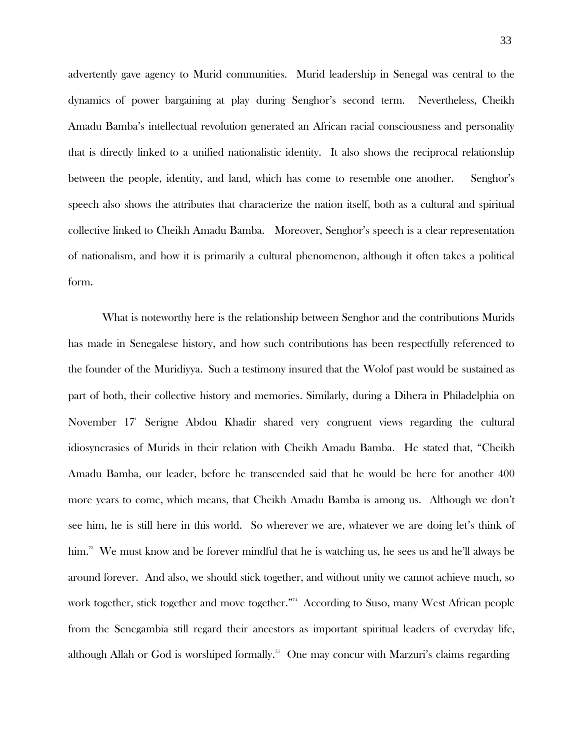advertently gave agency to Murid communities. Murid leadership in Senegal was central to the dynamics of power bargaining at play during Senghor's second term. Nevertheless, Cheikh Amadu Bamba's intellectual revolution generated an African racial consciousness and personality that is directly linked to a unified nationalistic identity. It also shows the reciprocal relationship between the people, identity, and land, which has come to resemble one another. Senghor's speech also shows the attributes that characterize the nation itself, both as a cultural and spiritual collective linked to Cheikh Amadu Bamba. Moreover, Senghor's speech is a clear representation of nationalism, and how it is primarily a cultural phenomenon, although it often takes a political form.

What is noteworthy here is the relationship between Senghor and the contributions Murids has made in Senegalese history, and how such contributions has been respectfully referenced to the founder of the Muridiyya. Such a testimony insured that the Wolof past would be sustained as part of both, their collective history and memories. Similarly, during a Dihera in Philadelphia on November 17<sup>t</sup> Serigne Abdou Khadir shared very congruent views regarding the cultural idiosyncrasies of Murids in their relation with Cheikh Amadu Bamba. He stated that, "Cheikh Amadu Bamba, our leader, before he transcended said that he would be here for another 400 more years to come, which means, that Cheikh Amadu Bamba is among us. Although we don't see him, he is still here in this world. So wherever we are, whatever we are doing let's think of him.<sup>73</sup> We must know and be forever mindful that he is watching us, he sees us and he'll always be around forever. And also, we should stick together, and without unity we cannot achieve much, so work together, stick together and move together." <sup>74</sup>According to Suso, many West African people from the Senegambia still regard their ancestors as important spiritual leaders of everyday life, although Allah or God is worshiped formally." One may concur with Marzuri's claims regarding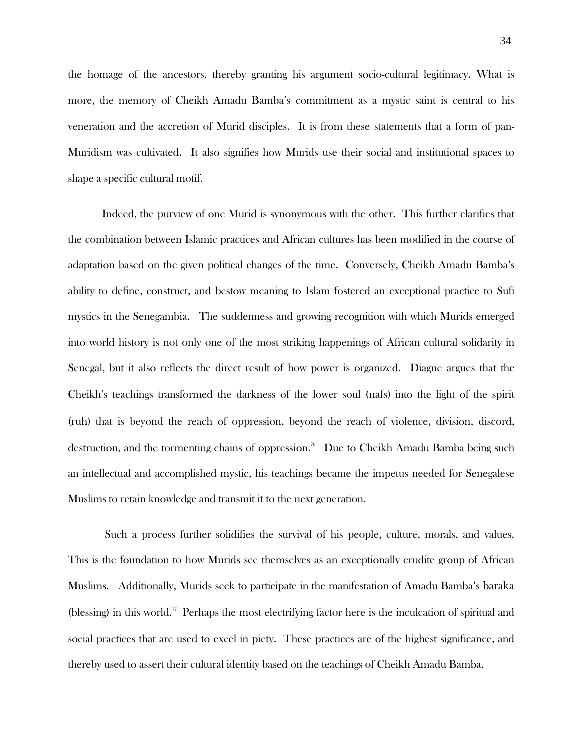the homage of the ancestors, thereby granting his argument socio-cultural legitimacy. What is more, the memory of Cheikh Amadu Bamba's commitment as a mystic saint is central to his veneration and the accretion of Murid disciples. It is from these statements that a form of pan-Muridism was cultivated. It also signifies how Murids use their social and institutional spaces to shape a specific cultural motif.

Indeed, the purview of one Murid is synonymous with the other. This further clarifies that the combination between Islamic practices and African cultures has been modified in the course of adaptation based on the given political changes of the time. Conversely, Cheikh Amadu Bamba's ability to define, construct, and bestow meaning to Islam fostered an exceptional practice to Sufi mystics in the Senegambia. The suddenness and growing recognition with which Murids emerged into world history is not only one of the most striking happenings of African cultural solidarity in Senegal, but it also reflects the direct result of how power is organized. Diagne argues that the Cheikh's teachings transformed the darkness of the lower soul (nafs) into the light of the spirit (ruh) that is beyond the reach of oppression, beyond the reach of violence, division, discord, destruction, and the tormenting chains of oppression.<sup>76</sup> Due to Cheikh Amadu Bamba being such an intellectual and accomplished mystic, his teachings became the impetus needed for Senegalese Muslims to retain knowledge and transmit it to the next generation.

Such a process further solidifies the survival of his people, culture, morals, and values. This is the foundation to how Murids see themselves as an exceptionally erudite group of African Muslims. Additionally, Murids seek to participate in the manifestation of Amadu Bamba's baraka (blessing) in this world." Perhaps the most electrifying factor here is the inculcation of spiritual and social practices that are used to excel in piety. These practices are of the highest significance, and thereby used to assert their cultural identity based on the teachings of Cheikh Amadu Bamba.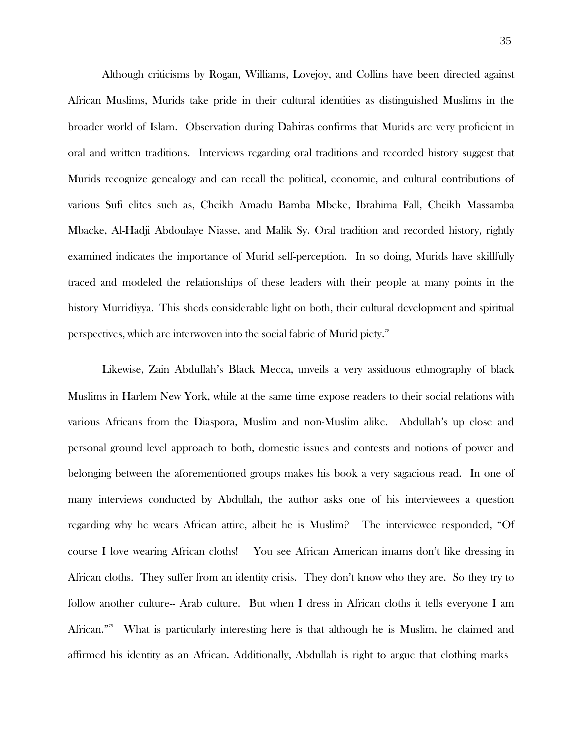Although criticisms by Rogan, Williams, Lovejoy, and Collins have been directed against African Muslims, Murids take pride in their cultural identities as distinguished Muslims in the broader world of Islam. Observation during Dahiras confirms that Murids are very proficient in oral and written traditions. Interviews regarding oral traditions and recorded history suggest that Murids recognize genealogy and can recall the political, economic, and cultural contributions of various Sufi elites such as, Cheikh Amadu Bamba Mbeke, Ibrahima Fall, Cheikh Massamba Mbacke, Al-Hadji Abdoulaye Niasse, and Malik Sy. Oral tradition and recorded history, rightly examined indicates the importance of Murid self-perception. In so doing, Murids have skillfully traced and modeled the relationships of these leaders with their people at many points in the history Murridiyya. This sheds considerable light on both, their cultural development and spiritual perspectives, which are interwoven into the social fabric of Murid piety.<sup>78</sup>

Likewise, Zain Abdullah's Black Mecca, unveils a very assiduous ethnography of black Muslims in Harlem New York, while at the same time expose readers to their social relations with various Africans from the Diaspora, Muslim and non-Muslim alike. Abdullah's up close and personal ground level approach to both, domestic issues and contests and notions of power and belonging between the aforementioned groups makes his book a very sagacious read. In one of many interviews conducted by Abdullah, the author asks one of his interviewees a question regarding why he wears African attire, albeit he is Muslim? The interviewee responded, "Of course I love wearing African cloths! You see African American imams don't like dressing in African cloths. They suffer from an identity crisis. They don't know who they are. So they try to follow another culture-- Arab culture. But when I dress in African cloths it tells everyone I am African."<sup>39</sup> What is particularly interesting here is that although he is Muslim, he claimed and affirmed his identity as an African. Additionally, Abdullah is right to argue that clothing marks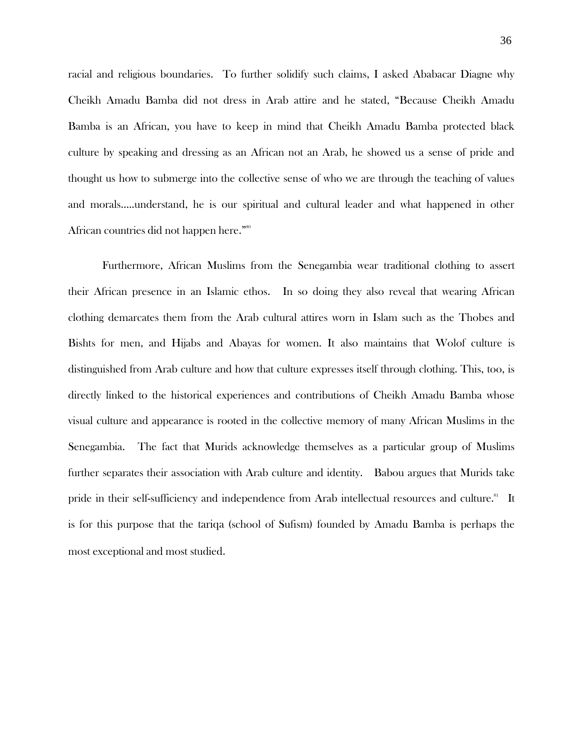racial and religious boundaries. To further solidify such claims, I asked Ababacar Diagne why Cheikh Amadu Bamba did not dress in Arab attire and he stated, "Because Cheikh Amadu Bamba is an African, you have to keep in mind that Cheikh Amadu Bamba protected black culture by speaking and dressing as an African not an Arab, he showed us a sense of pride and thought us how to submerge into the collective sense of who we are through the teaching of values and morals…..understand, he is our spiritual and cultural leader and what happened in other African countries did not happen here." 80

Furthermore, African Muslims from the Senegambia wear traditional clothing to assert their African presence in an Islamic ethos. In so doing they also reveal that wearing African clothing demarcates them from the Arab cultural attires worn in Islam such as the Thobes and Bishts for men, and Hijabs and Abayas for women. It also maintains that Wolof culture is distinguished from Arab culture and how that culture expresses itself through clothing. This, too, is directly linked to the historical experiences and contributions of Cheikh Amadu Bamba whose visual culture and appearance is rooted in the collective memory of many African Muslims in the Senegambia. The fact that Murids acknowledge themselves as a particular group of Muslims further separates their association with Arab culture and identity. Babou argues that Murids take pride in their self-sufficiency and independence from Arab intellectual resources and culture.<sup>81</sup> It is for this purpose that the tariqa (school of Sufism) founded by Amadu Bamba is perhaps the most exceptional and most studied.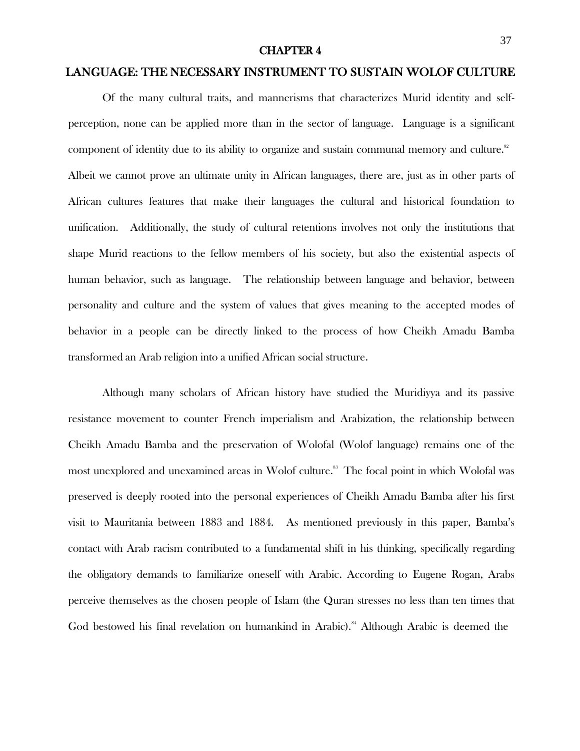#### CHAPTER 4

## LANGUAGE: THE NECESSARY INSTRUMENT TO SUSTAIN WOLOF CULTURE

Of the many cultural traits, and mannerisms that characterizes Murid identity and selfperception, none can be applied more than in the sector of language. Language is a significant component of identity due to its ability to organize and sustain communal memory and culture.<sup>82</sup> Albeit we cannot prove an ultimate unity in African languages, there are, just as in other parts of African cultures features that make their languages the cultural and historical foundation to unification. Additionally, the study of cultural retentions involves not only the institutions that shape Murid reactions to the fellow members of his society, but also the existential aspects of human behavior, such as language. The relationship between language and behavior, between personality and culture and the system of values that gives meaning to the accepted modes of behavior in a people can be directly linked to the process of how Cheikh Amadu Bamba transformed an Arab religion into a unified African social structure.

Although many scholars of African history have studied the Muridiyya and its passive resistance movement to counter French imperialism and Arabization, the relationship between Cheikh Amadu Bamba and the preservation of Wolofal (Wolof language) remains one of the most unexplored and unexamined areas in Wolof culture.<sup>88</sup> The focal point in which Wolofal was preserved is deeply rooted into the personal experiences of Cheikh Amadu Bamba after his first visit to Mauritania between 1883 and 1884. As mentioned previously in this paper, Bamba's contact with Arab racism contributed to a fundamental shift in his thinking, specifically regarding the obligatory demands to familiarize oneself with Arabic. According to Eugene Rogan, Arabs perceive themselves as the chosen people of Islam (the Quran stresses no less than ten times that God bestowed his final revelation on humankind in Arabic).<sup>84</sup> Although Arabic is deemed the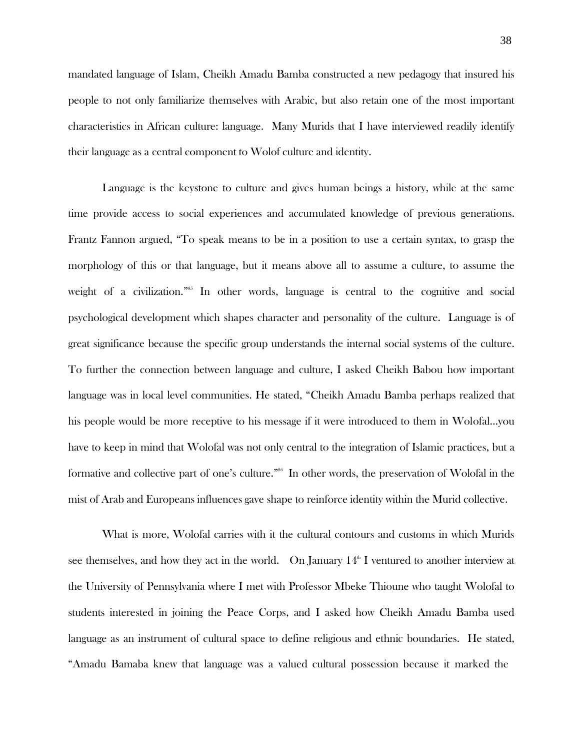mandated language of Islam, Cheikh Amadu Bamba constructed a new pedagogy that insured his people to not only familiarize themselves with Arabic, but also retain one of the most important characteristics in African culture: language. Many Murids that I have interviewed readily identify their language as a central component to Wolof culture and identity.

Language is the keystone to culture and gives human beings a history, while at the same time provide access to social experiences and accumulated knowledge of previous generations. Frantz Fannon argued, "To speak means to be in a position to use a certain syntax, to grasp the morphology of this or that language, but it means above all to assume a culture, to assume the weight of a civilization."<sup>85</sup> In other words, language is central to the cognitive and social psychological development which shapes character and personality of the culture. Language is of great significance because the specific group understands the internal social systems of the culture. To further the connection between language and culture, I asked Cheikh Babou how important language was in local level communities. He stated, "Cheikh Amadu Bamba perhaps realized that his people would be more receptive to his message if it were introduced to them in Wolofal…you have to keep in mind that Wolofal was not only central to the integration of Islamic practices, but a formative and collective part of one's culture."<sup>86</sup> In other words, the preservation of Wolofal in the mist of Arab and Europeans influences gave shape to reinforce identity within the Murid collective.

What is more, Wolofal carries with it the cultural contours and customs in which Murids see themselves, and how they act in the world. On January  $14^{\text{th}}$  I ventured to another interview at the University of Pennsylvania where I met with Professor Mbeke Thioune who taught Wolofal to students interested in joining the Peace Corps, and I asked how Cheikh Amadu Bamba used language as an instrument of cultural space to define religious and ethnic boundaries. He stated, "Amadu Bamaba knew that language was a valued cultural possession because it marked the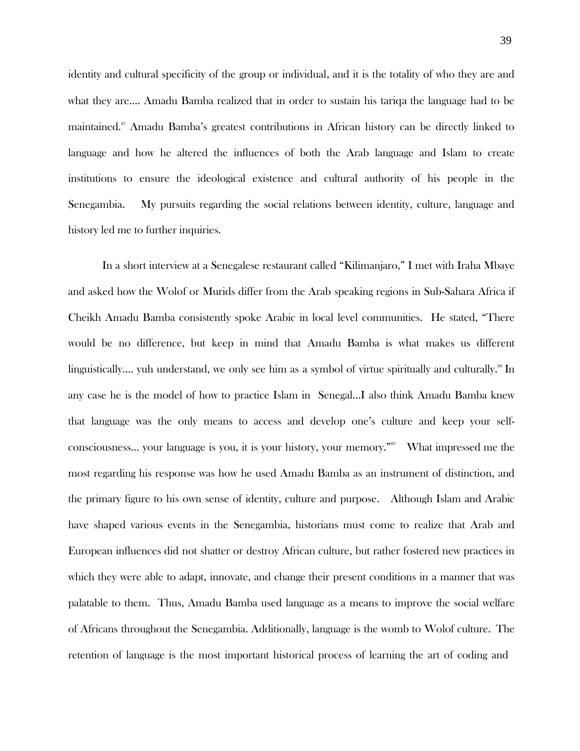identity and cultural specificity of the group or individual, and it is the totality of who they are and what they are…. Amadu Bamba realized that in order to sustain his tariqa the language had to be maintained. <sup>87</sup>Amadu Bamba's greatest contributions in African history can be directly linked to language and how he altered the influences of both the Arab language and Islam to create institutions to ensure the ideological existence and cultural authority of his people in the Senegambia. My pursuits regarding the social relations between identity, culture, language and history led me to further inquiries.

In a short interview at a Senegalese restaurant called "Kilimanjaro," I met with Iraha Mbaye and asked how the Wolof or Murids differ from the Arab speaking regions in Sub-Sahara Africa if Cheikh Amadu Bamba consistently spoke Arabic in local level communities. He stated, "There would be no difference, but keep in mind that Amadu Bamba is what makes us different linguistically.... yuh understand, we only see him as a symbol of virtue spiritually and culturally.<sup>88</sup> In any case he is the model of how to practice Islam in Senegal…I also think Amadu Bamba knew that language was the only means to access and develop one's culture and keep your selfconsciousness... your language is you, it is your history, your memory."<sup>89</sup> What impressed me the most regarding his response was how he used Amadu Bamba as an instrument of distinction, and the primary figure to his own sense of identity, culture and purpose. Although Islam and Arabic have shaped various events in the Senegambia, historians must come to realize that Arab and European influences did not shatter or destroy African culture, but rather fostered new practices in which they were able to adapt, innovate, and change their present conditions in a manner that was palatable to them. Thus, Amadu Bamba used language as a means to improve the social welfare of Africans throughout the Senegambia. Additionally, language is the womb to Wolof culture. The retention of language is the most important historical process of learning the art of coding and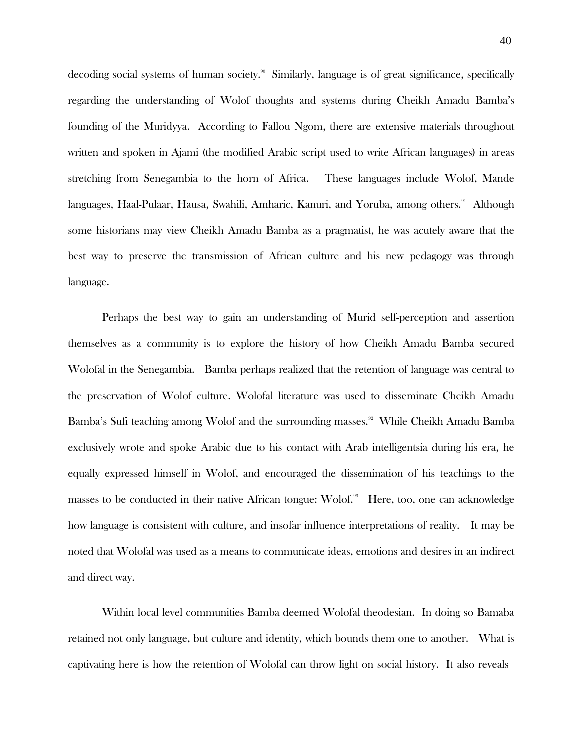decoding social systems of human society.<sup>90</sup> Similarly, language is of great significance, specifically regarding the understanding of Wolof thoughts and systems during Cheikh Amadu Bamba's founding of the Muridyya. According to Fallou Ngom, there are extensive materials throughout written and spoken in Ajami (the modified Arabic script used to write African languages) in areas stretching from Senegambia to the horn of Africa. These languages include Wolof, Mande languages, Haal-Pulaar, Hausa, Swahili, Amharic, Kanuri, and Yoruba, among others.<sup>91</sup> Although some historians may view Cheikh Amadu Bamba as a pragmatist, he was acutely aware that the best way to preserve the transmission of African culture and his new pedagogy was through language.

Perhaps the best way to gain an understanding of Murid self-perception and assertion themselves as a community is to explore the history of how Cheikh Amadu Bamba secured Wolofal in the Senegambia. Bamba perhaps realized that the retention of language was central to the preservation of Wolof culture. Wolofal literature was used to disseminate Cheikh Amadu Bamba's Sufi teaching among Wolof and the surrounding masses.<sup>92</sup> While Cheikh Amadu Bamba exclusively wrote and spoke Arabic due to his contact with Arab intelligentsia during his era, he equally expressed himself in Wolof, and encouraged the dissemination of his teachings to the masses to be conducted in their native African tongue: Wolof.<sup>33</sup> Here, too, one can acknowledge how language is consistent with culture, and insofar influence interpretations of reality. It may be noted that Wolofal was used as a means to communicate ideas, emotions and desires in an indirect and direct way.

Within local level communities Bamba deemed Wolofal theodesian. In doing so Bamaba retained not only language, but culture and identity, which bounds them one to another. What is captivating here is how the retention of Wolofal can throw light on social history. It also reveals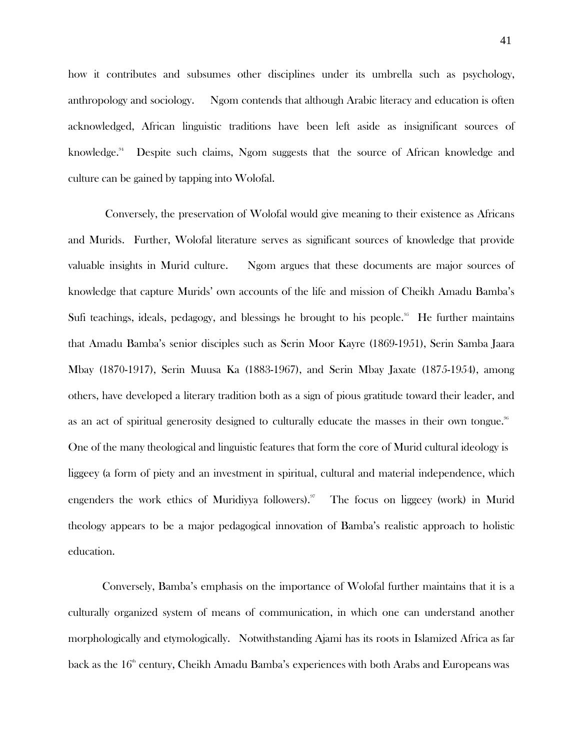how it contributes and subsumes other disciplines under its umbrella such as psychology, anthropology and sociology. Ngom contends that although Arabic literacy and education is often acknowledged, African linguistic traditions have been left aside as insignificant sources of knowledge. Despite such claims, Ngom suggests that the source of African knowledge and culture can be gained by tapping into Wolofal.

Conversely, the preservation of Wolofal would give meaning to their existence as Africans and Murids. Further, Wolofal literature serves as significant sources of knowledge that provide valuable insights in Murid culture. Ngom argues that these documents are major sources of knowledge that capture Murids' own accounts of the life and mission of Cheikh Amadu Bamba's Sufi teachings, ideals, pedagogy, and blessings he brought to his people.<sup>35</sup> He further maintains that Amadu Bamba's senior disciples such as Serin Moor Kayre (1869-1951), Serin Samba Jaara Mbay (1870-1917), Serin Muusa Ka (1883-1967), and Serin Mbay Jaxate (1875-1954), among others, have developed a literary tradition both as a sign of pious gratitude toward their leader, and as an act of spiritual generosity designed to culturally educate the masses in their own tongue. $^{\textrm{\tiny{96}}}$ One of the many theological and linguistic features that form the core of Murid cultural ideology is liggeey (a form of piety and an investment in spiritual, cultural and material independence, which engenders the work ethics of Muridiyya followers).<sup>97</sup> The focus on liggeey (work) in Murid theology appears to be a major pedagogical innovation of Bamba's realistic approach to holistic education.

Conversely, Bamba's emphasis on the importance of Wolofal further maintains that it is a culturally organized system of means of communication, in which one can understand another morphologically and etymologically. Notwithstanding Ajami has its roots in Islamized Africa as far back as the  $16^{\text{\tiny th}}$  century, Cheikh Amadu Bamba's experiences with both Arabs and Europeans was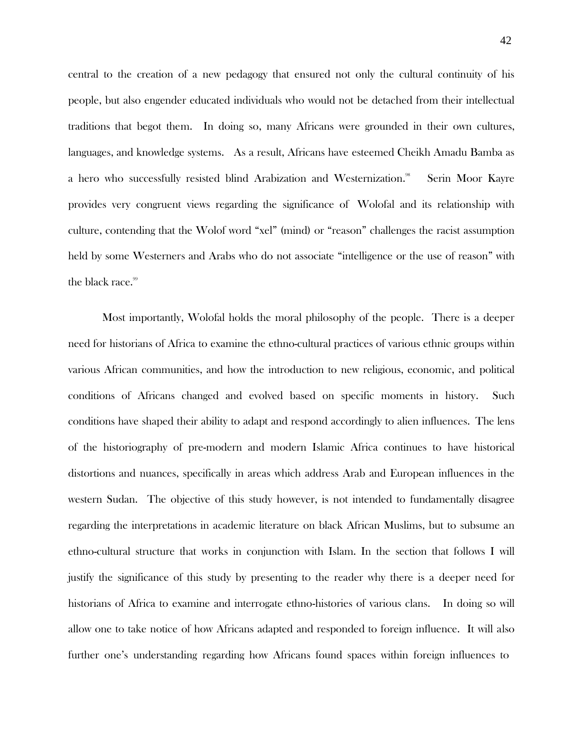central to the creation of a new pedagogy that ensured not only the cultural continuity of his people, but also engender educated individuals who would not be detached from their intellectual traditions that begot them. In doing so, many Africans were grounded in their own cultures, languages, and knowledge systems. As a result, Africans have esteemed Cheikh Amadu Bamba as a hero who successfully resisted blind Arabization and Westernization. Serin Moor Kayre provides very congruent views regarding the significance of Wolofal and its relationship with culture, contending that the Wolof word "xel" (mind) or "reason" challenges the racist assumption held by some Westerners and Arabs who do not associate "intelligence or the use of reason" with the black race.<sup>99</sup>

Most importantly, Wolofal holds the moral philosophy of the people. There is a deeper need for historians of Africa to examine the ethno-cultural practices of various ethnic groups within various African communities, and how the introduction to new religious, economic, and political conditions of Africans changed and evolved based on specific moments in history. Such conditions have shaped their ability to adapt and respond accordingly to alien influences. The lens of the historiography of pre-modern and modern Islamic Africa continues to have historical distortions and nuances, specifically in areas which address Arab and European influences in the western Sudan. The objective of this study however, is not intended to fundamentally disagree regarding the interpretations in academic literature on black African Muslims, but to subsume an ethno-cultural structure that works in conjunction with Islam. In the section that follows I will justify the significance of this study by presenting to the reader why there is a deeper need for historians of Africa to examine and interrogate ethno-histories of various clans. In doing so will allow one to take notice of how Africans adapted and responded to foreign influence. It will also further one's understanding regarding how Africans found spaces within foreign influences to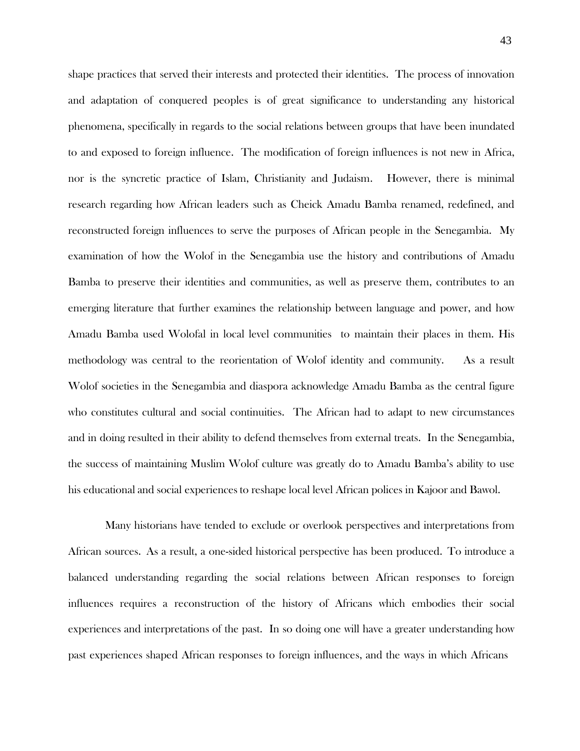shape practices that served their interests and protected their identities. The process of innovation and adaptation of conquered peoples is of great significance to understanding any historical phenomena, specifically in regards to the social relations between groups that have been inundated to and exposed to foreign influence. The modification of foreign influences is not new in Africa, nor is the syncretic practice of Islam, Christianity and Judaism. However, there is minimal research regarding how African leaders such as Cheick Amadu Bamba renamed, redefined, and reconstructed foreign influences to serve the purposes of African people in the Senegambia. My examination of how the Wolof in the Senegambia use the history and contributions of Amadu Bamba to preserve their identities and communities, as well as preserve them, contributes to an emerging literature that further examines the relationship between language and power, and how Amadu Bamba used Wolofal in local level communities to maintain their places in them. His methodology was central to the reorientation of Wolof identity and community. As a result Wolof societies in the Senegambia and diaspora acknowledge Amadu Bamba as the central figure who constitutes cultural and social continuities. The African had to adapt to new circumstances and in doing resulted in their ability to defend themselves from external treats. In the Senegambia, the success of maintaining Muslim Wolof culture was greatly do to Amadu Bamba's ability to use his educational and social experiences to reshape local level African polices in Kajoor and Bawol.

Many historians have tended to exclude or overlook perspectives and interpretations from African sources. As a result, a one-sided historical perspective has been produced. To introduce a balanced understanding regarding the social relations between African responses to foreign influences requires a reconstruction of the history of Africans which embodies their social experiences and interpretations of the past. In so doing one will have a greater understanding how past experiences shaped African responses to foreign influences, and the ways in which Africans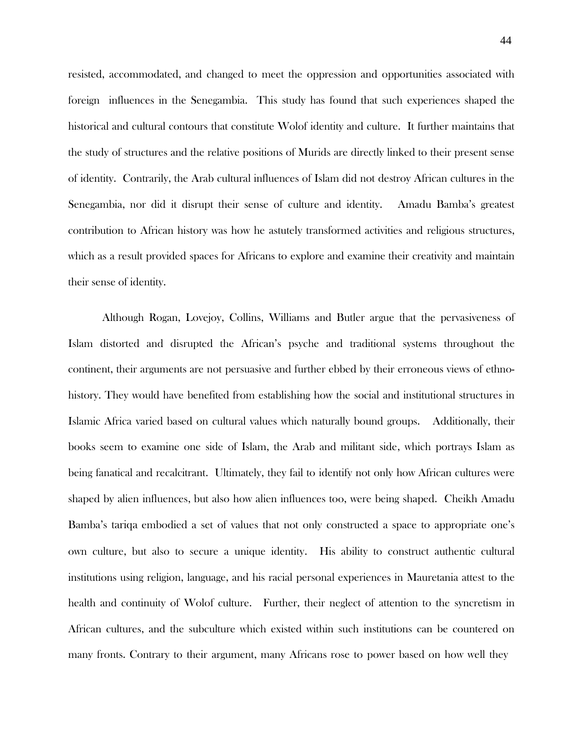resisted, accommodated, and changed to meet the oppression and opportunities associated with foreign influences in the Senegambia. This study has found that such experiences shaped the historical and cultural contours that constitute Wolof identity and culture. It further maintains that the study of structures and the relative positions of Murids are directly linked to their present sense of identity. Contrarily, the Arab cultural influences of Islam did not destroy African cultures in the Senegambia, nor did it disrupt their sense of culture and identity. Amadu Bamba's greatest contribution to African history was how he astutely transformed activities and religious structures, which as a result provided spaces for Africans to explore and examine their creativity and maintain their sense of identity.

Although Rogan, Lovejoy, Collins, Williams and Butler argue that the pervasiveness of Islam distorted and disrupted the African's psyche and traditional systems throughout the continent, their arguments are not persuasive and further ebbed by their erroneous views of ethnohistory. They would have benefited from establishing how the social and institutional structures in Islamic Africa varied based on cultural values which naturally bound groups. Additionally, their books seem to examine one side of Islam, the Arab and militant side, which portrays Islam as being fanatical and recalcitrant. Ultimately, they fail to identify not only how African cultures were shaped by alien influences, but also how alien influences too, were being shaped. Cheikh Amadu Bamba's tariqa embodied a set of values that not only constructed a space to appropriate one's own culture, but also to secure a unique identity. His ability to construct authentic cultural institutions using religion, language, and his racial personal experiences in Mauretania attest to the health and continuity of Wolof culture. Further, their neglect of attention to the syncretism in African cultures, and the subculture which existed within such institutions can be countered on many fronts. Contrary to their argument, many Africans rose to power based on how well they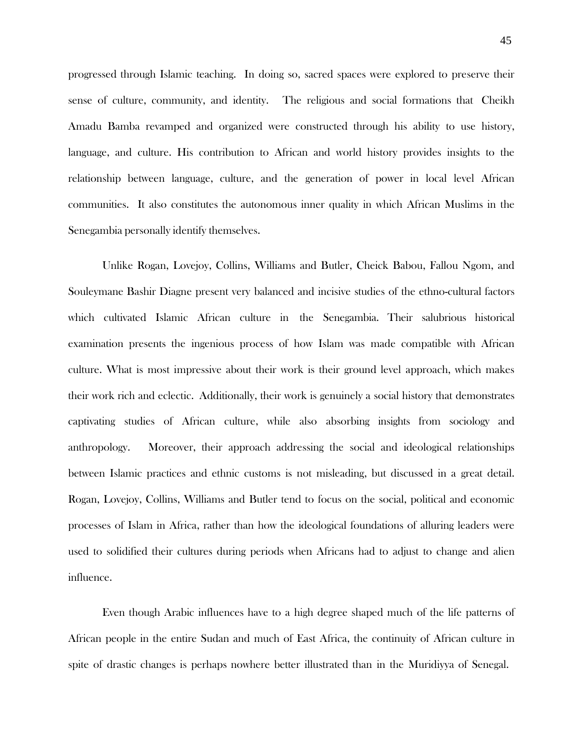progressed through Islamic teaching. In doing so, sacred spaces were explored to preserve their sense of culture, community, and identity. The religious and social formations that Cheikh Amadu Bamba revamped and organized were constructed through his ability to use history, language, and culture. His contribution to African and world history provides insights to the relationship between language, culture, and the generation of power in local level African communities. It also constitutes the autonomous inner quality in which African Muslims in the Senegambia personally identify themselves.

Unlike Rogan, Lovejoy, Collins, Williams and Butler, Cheick Babou, Fallou Ngom, and Souleymane Bashir Diagne present very balanced and incisive studies of the ethno-cultural factors which cultivated Islamic African culture in the Senegambia. Their salubrious historical examination presents the ingenious process of how Islam was made compatible with African culture. What is most impressive about their work is their ground level approach, which makes their work rich and eclectic. Additionally, their work is genuinely a social history that demonstrates captivating studies of African culture, while also absorbing insights from sociology and anthropology. Moreover, their approach addressing the social and ideological relationships between Islamic practices and ethnic customs is not misleading, but discussed in a great detail. Rogan, Lovejoy, Collins, Williams and Butler tend to focus on the social, political and economic processes of Islam in Africa, rather than how the ideological foundations of alluring leaders were used to solidified their cultures during periods when Africans had to adjust to change and alien influence.

Even though Arabic influences have to a high degree shaped much of the life patterns of African people in the entire Sudan and much of East Africa, the continuity of African culture in spite of drastic changes is perhaps nowhere better illustrated than in the Muridiyya of Senegal.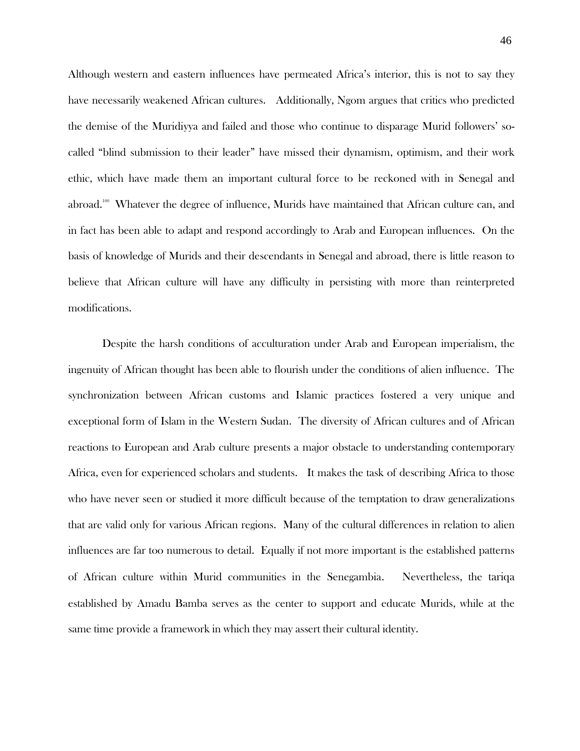Although western and eastern influences have permeated Africa's interior, this is not to say they have necessarily weakened African cultures. Additionally, Ngom argues that critics who predicted the demise of the Muridiyya and failed and those who continue to disparage Murid followers' socalled "blind submission to their leader" have missed their dynamism, optimism, and their work ethic, which have made them an important cultural force to be reckoned with in Senegal and abroad.<sup>100</sup> Whatever the degree of influence, Murids have maintained that African culture can, and in fact has been able to adapt and respond accordingly to Arab and European influences. On the basis of knowledge of Murids and their descendants in Senegal and abroad, there is little reason to believe that African culture will have any difficulty in persisting with more than reinterpreted modifications.

Despite the harsh conditions of acculturation under Arab and European imperialism, the ingenuity of African thought has been able to flourish under the conditions of alien influence. The synchronization between African customs and Islamic practices fostered a very unique and exceptional form of Islam in the Western Sudan. The diversity of African cultures and of African reactions to European and Arab culture presents a major obstacle to understanding contemporary Africa, even for experienced scholars and students. It makes the task of describing Africa to those who have never seen or studied it more difficult because of the temptation to draw generalizations that are valid only for various African regions. Many of the cultural differences in relation to alien influences are far too numerous to detail. Equally if not more important is the established patterns of African culture within Murid communities in the Senegambia. Nevertheless, the tariqa established by Amadu Bamba serves as the center to support and educate Murids, while at the same time provide a framework in which they may assert their cultural identity.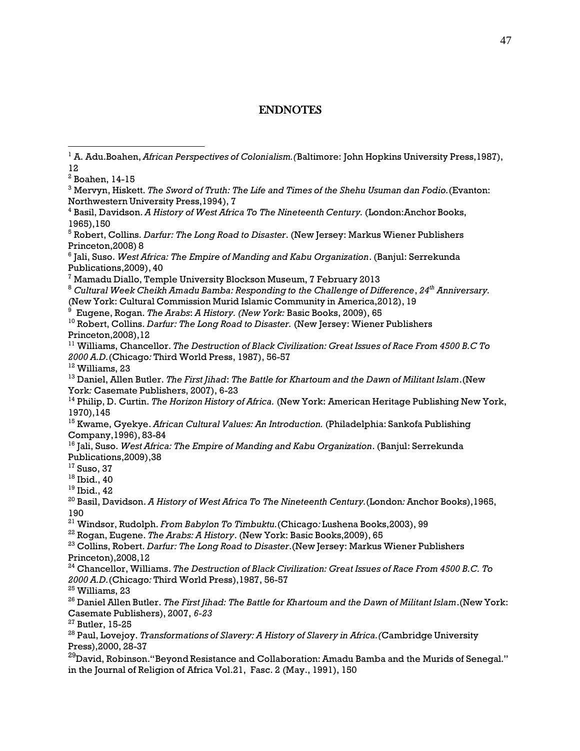## ENDNOTES

 Mervyn, Hiskett. *The Sword of Truth: The Life and Times of the Shehu Usuman dan Fodio.*(Evanton: Northwestern University Press,1994), 7

 Jali, Suso. *West Africa: The Empire of Manding and Kabu Organization*. (Banjul: Serrekunda Publications,2009), 40

Mamadu Diallo, Temple University Blockson Museum, 7 February 2013

 *Cultural Week Cheikh Amadu Bamba: Responding to the Challenge of Difference*, *24 th Anniversary.* (New York: Cultural Commission Murid Islamic Community in America,2012), 19

Eugene, Rogan. *The Arabs*: *A History. (New York:* Basic Books, 2009), 65

 Robert, Collins. *Darfur: The Long Road to Disaster.* (New Jersey: Wiener Publishers Princeton,2008),12

 Williams, Chancellor. *The Destruction of Black Civilization: Great Issues of Race From 4500 B.C To A.D.*(Chicago*:* Third World Press, 1987), 56-57

<sup>12</sup> Williams, 23

 Daniel, Allen Butler. *The First Jihad*: *The Battle for Khartoum and the Dawn of Militant Islam*.(New York*:* Casemate Publishers, 2007), 6-23

 Philip, D. Curtin. *The Horizon History of Africa.* (New York: American Heritage Publishing New York, 1970),145

 Kwame, Gyekye. *African Cultural Values: An Introduction.* (Philadelphia: Sankofa Publishing Company,1996), 83-84

 Jali, Suso. *West Africa: The Empire of Manding and Kabu Organization*. (Banjul: Serrekunda Publications,2009),38

Suso, 37

 $^{18}$  Ibid., 40

Ibid., 42

 Basil, Davidson. *A History of West Africa To The Nineteenth Century.*(London*:* Anchor Books),1965, 

Windsor, Rudolph. *From Babylon To Timbuktu.*(Chicago*:* Lushena Books,2003), 99

Rogan, Eugene. *The Arabs: A History*. (New York: Basic Books,2009), 65

 Collins, Robert. *Darfur: The Long Road to Disaster*.(New Jersey: Markus Wiener Publishers Princeton),2008,12

 Chancellor, Williams. *The Destruction of Black Civilization: Great Issues of Race From 4500 B.C. To A.D.*(Chicago*:* Third World Press),1987, 56-57

Williams, 23

 Daniel Allen Butler. *The First Jihad: The Battle for Khartoum and the Dawn of Militant Islam*.(New York: Casemate Publishers), 2007, *6-23*

Butler, 15-25

 Paul, Lovejoy. *Transformations of Slavery: A History of Slavery in Africa.(*Cambridge University Press),2000, 28-37

 $^{29}$ David, Robinson."Beyond Resistance and Collaboration: Amadu Bamba and the Murids of Senegal." in the Journal of Religion of Africa Vol.21, Fasc. 2 (May., 1991), 150

 A. Adu.Boahen, *African Perspectives of Colonialism.(*Baltimore: John Hopkins University Press,1987), 

Boahen, 14-15

 Basil, Davidson. *A History of West Africa To The Nineteenth Century.* (London:Anchor Books, 1965),150

 Robert, Collins. *Darfur: The Long Road to Disaster*. (New Jersey: Markus Wiener Publishers Princeton,2008) 8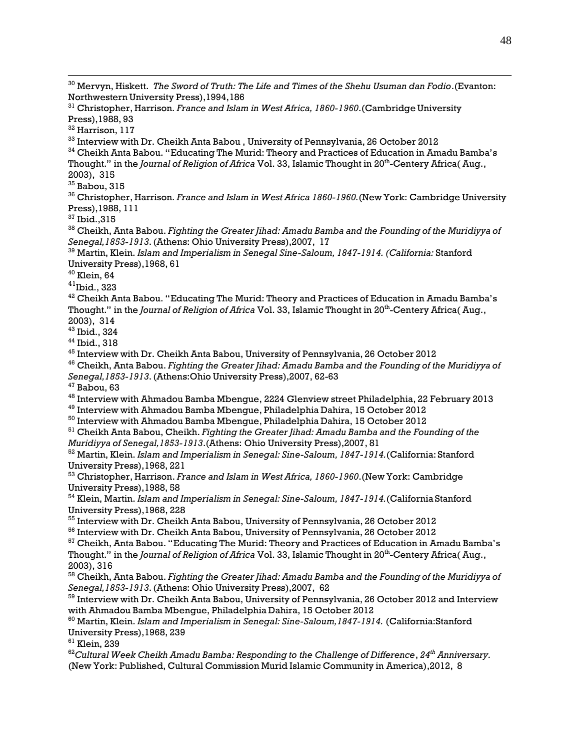<sup>30</sup> Mervyn, Hiskett. *The Sword of Truth: The Life and Times of the Shehu Usuman dan Fodio*.(Evanton: Northwestern University Press),1994,186

<sup>31</sup> Christopher, Harrison*. France and Islam in West Africa, 1860-1960*.(Cambridge University Press),1988, 93

<sup>32</sup> Harrison, 117

 $^{\rm 33}$  Interview with Dr. Cheikh Anta Babou , University of Pennsylvania, 26 October 2012

 $34$  Cheikh Anta Babou. "Educating The Murid: Theory and Practices of Education in Amadu Bamba's Thought." in the *Journal of Religion of Africa* Vol. 33, Islamic Thought in 20 th -Centery Africa( Aug., 2003), 315

<sup>35</sup> Babou, 315

<sup>36</sup> Christopher, Harrison*. France and Islam in West Africa 1860-1960.*(New York: Cambridge University Press),1988, 111

 $37$  Ibid.,  $315$ 

<sup>38</sup> Cheikh, Anta Babou. *Fighting the Greater Jihad: Amadu Bamba and the Founding of the Muridiyya of Senegal,1853-1913*.(Athens: Ohio University Press),2007, 17

<sup>39</sup> Martin, Klein. *Islam and Imperialism in Senegal Sine-Saloum, 1847-1914. (California:* Stanford University Press),1968, 61

<sup>40</sup> Klein, 64

 $41$ Ibid., 323

 $^{42}$  Cheikh Anta Babou. "Educating The Murid: Theory and Practices of Education in Amadu Bamba's Thought." in the *Journal of Religion of Africa* Vol. 33, Islamic Thought in 20 th -Centery Africa( Aug., 2003), 314

43 Ibid., 324

44 Ibid., 318

 $^{45}$  Interview with Dr. Cheikh Anta Babou, University of Pennsylvania, 26 October 2012

<sup>46</sup> Cheikh, Anta Babou. *Fighting the Greater Jihad: Amadu Bamba and the Founding of the Muridiyya of Senegal,1853-1913*.(Athens:Ohio University Press),2007, 62-63

<sup>47</sup> Babou, 63

 $^{48}$  Interview with Ahmadou Bamba Mbengue, 2224 Glenview street Philadelphia, 22 February 2013

 $^{\rm 49}$  Interview with Ahmadou Bamba Mbengue, Philadelphia Dahira, 15 October 2012

 $^{\rm 50}$  Interview with Ahmadou Bamba Mbengue, Philadelphia Dahira, 15 October 2012

<sup>51</sup> Cheikh Anta Babou, Cheikh. *Fighting the Greater Jihad: Amadu Bamba and the Founding of the Muridiyya of Senegal,1853-1913*.(Athens: Ohio University Press),2007, 81

<sup>52</sup> Martin, Klein. *Islam and Imperialism in Senegal: Sine-Saloum, 1847-1914.*(California: Stanford University Press),1968, 221

<sup>53</sup> Christopher, Harrison. *France and Islam in West Africa, 1860-1960*.(New York: Cambridge University Press),1988, 58

<sup>54</sup> Klein, Martin. *Islam and Imperialism in Senegal: Sine-Saloum, 1847-1914.*(California Stanford University Press),1968, 228

 $^{55}$  Interview with Dr. Cheikh Anta Babou, University of Pennsylvania, 26 October 2012

 $^{56}$  Interview with Dr. Cheikh Anta Babou, University of Pennsylvania, 26 October 2012

<sup>57</sup> Cheikh, Anta Babou. "Educating The Murid: Theory and Practices of Education in Amadu Bamba's Thought." in the *Journal of Religion of Africa* Vol. 33, Islamic Thought in 20 th -Centery Africa( Aug., 2003), 316

<sup>58</sup> Cheikh, Anta Babou. *Fighting the Greater Jihad: Amadu Bamba and the Founding of the Muridiyya of Senegal,1853-1913*.(Athens: Ohio University Press),2007, 62

 $^{59}$  Interview with Dr. Cheikh Anta Babou, University of Pennsylvania, 26 October 2012 and Interview with Ahmadou Bamba Mbengue, Philadelphia Dahira, 15 October 2012

<sup>60</sup> Martin, Klein. *Islam and Imperialism in Senegal: Sine-Saloum,1847-1914.* (California:Stanford University Press),1968, 239

<sup>61</sup> Klein, 239

<sup>62</sup>*Cultural Week Cheikh Amadu Bamba: Responding to the Challenge of Difference*, *24 th Anniversary.* (New York: Published, Cultural Commission Murid Islamic Community in America),2012, 8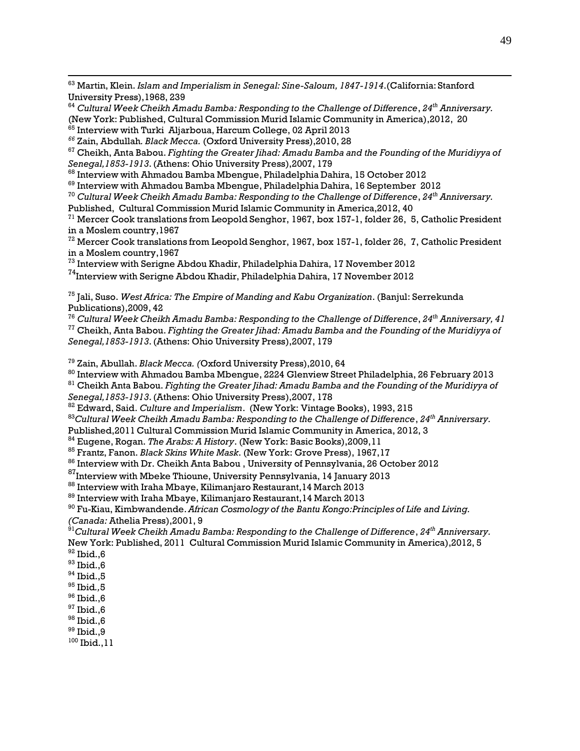<sup>63</sup> Martin, Klein. *Islam and Imperialism in Senegal: Sine-Saloum, 1847-1914*.(California: Stanford University Press),1968, 239

<sup>64</sup> *Cultural Week Cheikh Amadu Bamba: Responding to the Challenge of Difference*, *24th Anniversary.* (New York: Published, Cultural Commission Murid Islamic Community in America),2012, 20<br><sup>65</sup> Interview with Turki Aljarboua, Harcum College, 02 April 2013

*<sup>66</sup>* Zain, Abdullah*. Black Mecca.* (Oxford University Press),2010, 28 <sup>67</sup> Cheikh, Anta Babou. *Fighting the Greater Jihad: Amadu Bamba and the Founding of the Muridiyya of*

*Senegal,1853-1913*.(Athens: Ohio University Press),2007, 179

 $^{68}$  Interview with Ahmadou Bamba Mbengue, Philadelphia Dahira, 15 October 2012

 $^{69}$  Interview with Ahmadou Bamba Mbengue, Philadelphia Dahira, 16 September  $\,2012$ 

<sup>70</sup> *Cultural Week Cheikh Amadu Bamba: Responding to the Challenge of Difference*, *24th Anniversary.*

Published, Cultural Commission Murid Islamic Community in America,2012, 40

 $71$  Mercer Cook translations from Leopold Senghor, 1967, box 157-1, folder 26, 5, Catholic President in a Moslem country,1967

<sup>72</sup> Mercer Cook translations from Leopold Senghor, 1967, box 157-1, folder 26, 7, Catholic President in a Moslem country,1967

 $^{\rm 73}$  Interview with Serigne Abdou Khadir, Philadelphia Dahira, 17 November 2012

 $^{74}$ Interview with Serigne Abdou Khadir, Philadelphia Dahira, 17 November 2012

75 Jali, Suso. *West Africa: The Empire of Manding and Kabu Organization*. (Banjul: Serrekunda Publications),2009, 42

<sup>76</sup> *Cultural Week Cheikh Amadu Bamba: Responding to the Challenge of Difference*, *24th Anniversary, 41* <sup>77</sup> Cheikh, Anta Babou. *Fighting the Greater Jihad: Amadu Bamba and the Founding of the Muridiyya of Senegal,1853-1913*.(Athens: Ohio University Press),2007, 179

<sup>79</sup> Zain, Abullah. *Black Mecca. (*Oxford University Press),2010, 64

 $^{\rm 80}$  Interview with Ahmadou Bamba Mbengue, 2224 Glenview Street Philadelphia, 26 February 2013

<sup>81</sup> Cheikh Anta Babou. *Fighting the Greater Jihad: Amadu Bamba and the Founding of the Muridiyya of Senegal,1853-1913*.(Athens: Ohio University Press),2007, 178

<sup>82</sup> Edward, Said. *Culture and Imperialism*. (New York: Vintage Books), 1993, 215

<sup>83</sup>*Cultural Week Cheikh Amadu Bamba: Responding to the Challenge of Difference*, *24 th Anniversary.*

Published,2011 Cultural Commission Murid Islamic Community in America, 2012, 3

<sup>84</sup> Eugene, Rogan. *The Arabs: A History*. (New York: Basic Books),2009,11

<sup>85</sup> Frantz, Fanon. *Black Skins White Mask*. (New York: Grove Press), 1967,17

 $^{86}$  Interview with Dr. Cheikh Anta Babou , University of Pennsylvania, 26 October 2012

 $^{87}$ Interview with Mbeke Thioune, University Pennsylvania, 14 January 2013

 $^{88}$  Interview with Iraha Mbaye, Kilimanjaro Restaurant, $14$  March 2013

 $^{\rm 89}$  Interview with Iraha Mbaye, Kilimanjaro Restaurant, 14 March 2013

<sup>90</sup> Fu-Kiau, Kimbwandende. *African Cosmology of the Bantu Kongo:Principles of Life and Living. (Canada:* Athelia Press),2001, 9

<sup>91</sup>*Cultural Week Cheikh Amadu Bamba: Responding to the Challenge of Difference*, *24 th Anniversary.* New York: Published, 2011 Cultural Commission Murid Islamic Community in America),2012, 5

- $92$  Ibid., 6
- $93$  Ibid., 6
- $^{94}$  Ibid.,5
- 95 Ibid*.,*5
- $96$  Ibid.,  $6$
- $97$  Ibid., 6
- $^{98}$  Ibid.,6

<sup>99</sup> Ibid.,9

 $100$  Ibid., 11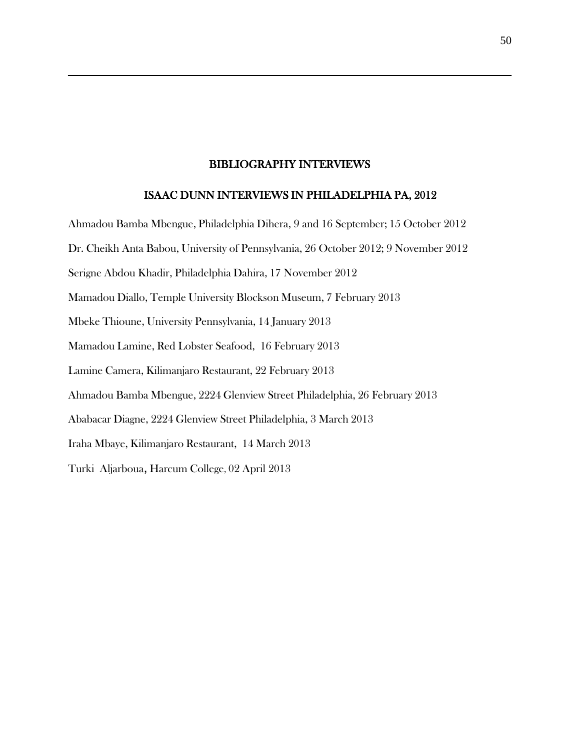#### BIBLIOGRAPHY INTERVIEWS

#### ISAAC DUNN INTERVIEWS IN PHILADELPHIA PA, 2012

Ahmadou Bamba Mbengue, Philadelphia Dihera, 9 and 16 September; 15 October 2012 Dr. Cheikh Anta Babou, University of Pennsylvania, 26 October 2012; 9 November 2012 Serigne Abdou Khadir, Philadelphia Dahira, 17 November 2012 Mamadou Diallo, Temple University Blockson Museum, 7 February 2013 Mbeke Thioune, University Pennsylvania, 14 January 2013 Mamadou Lamine, Red Lobster Seafood, 16 February 2013 Lamine Camera, Kilimanjaro Restaurant, 22 February 2013 Ahmadou Bamba Mbengue, 2224 Glenview Street Philadelphia, 26 February 2013 Ababacar Diagne, 2224 Glenview Street Philadelphia, 3 March 2013 Iraha Mbaye, Kilimanjaro Restaurant, 14 March 2013 Turki Aljarboua, Harcum College, 02 April 2013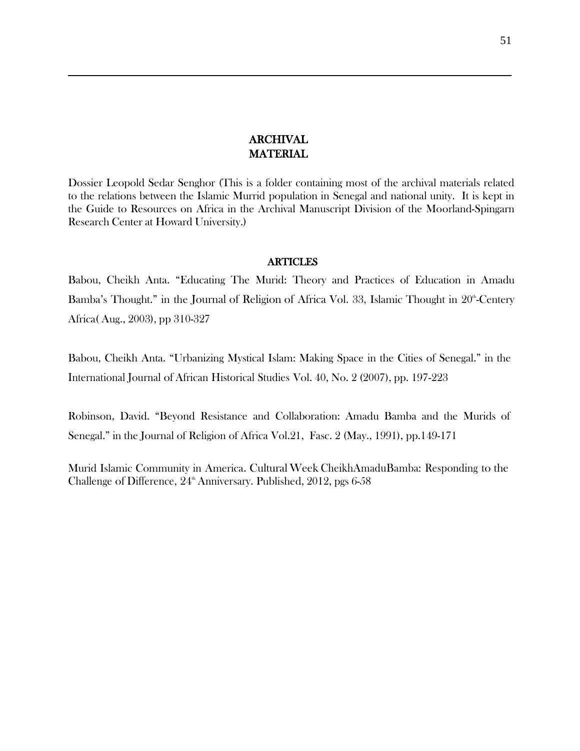## ARCHIVAL MATERIAL

Dossier Leopold Sedar Senghor (This is a folder containing most of the archival materials related to the relations between the Islamic Murrid population in Senegal and national unity. It is kept in the Guide to Resources on Africa in the Archival Manuscript Division of the Moorland-Spingarn Research Center at Howard University.)

#### **ARTICLES**

Babou, Cheikh Anta. "Educating The Murid: Theory and Practices of Education in Amadu Bamba's Thought." in the Journal of Religion of Africa Vol. 33, Islamic Thought in 20<sup>th</sup>-Centery Africa( Aug., 2003), pp 310-327

Babou, Cheikh Anta. "Urbanizing Mystical Islam: Making Space in the Cities of Senegal." in the International Journal of African Historical Studies Vol. 40, No. 2 (2007), pp. 197-223

Robinson, David. "Beyond Resistance and Collaboration: Amadu Bamba and the Murids of Senegal." in the Journal of Religion of Africa Vol.21, Fasc. 2 (May., 1991), pp.149-171

Murid Islamic Community in America. CulturalWeek CheikhAmaduBamba: Responding to the Challenge of Difference,  $24^{\text{th}}$  Anniversary. Published, 2012, pgs 6-58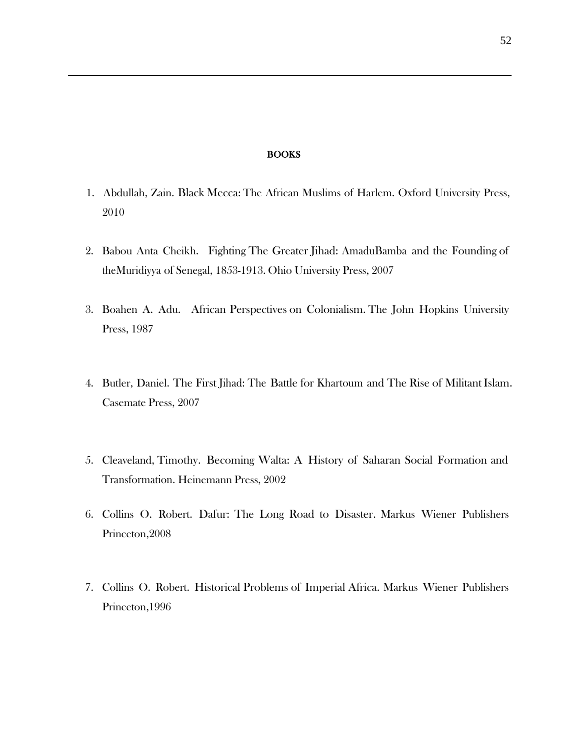#### BOOKS

- 1. Abdullah, Zain. Black Mecca: The African Muslims of Harlem. Oxford University Press, 2010
- 2. Babou Anta Cheikh. Fighting The Greater Jihad: AmaduBamba and the Founding of theMuridiyya of Senegal, 1853-1913. Ohio University Press, 2007
- 3. Boahen A. Adu. African Perspectives on Colonialism. The John Hopkins University Press, 1987
- 4. Butler, Daniel. The First Jihad: The Battle for Khartoum and The Rise of Militant Islam. Casemate Press, 2007
- 5. Cleaveland, Timothy. Becoming Walta: A History of Saharan Social Formation and Transformation. Heinemann Press, 2002
- 6. Collins O. Robert. Dafur: The Long Road to Disaster. Markus Wiener Publishers Princeton,2008
- 7. Collins O. Robert. Historical Problems of Imperial Africa. Markus Wiener Publishers Princeton,1996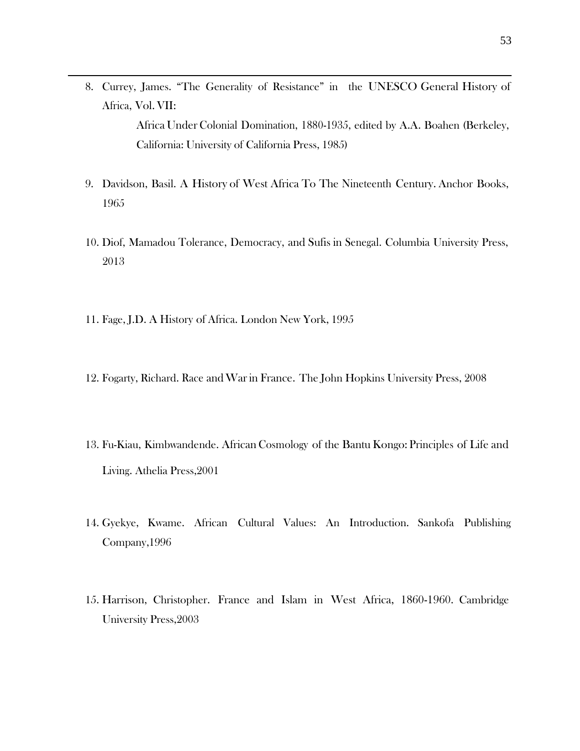- 8. Currey, James. "The Generality of Resistance" in the UNESCO General History of Africa, Vol.VII: Africa Under Colonial Domination, 1880-1935, edited by A.A. Boahen (Berkeley, California: University of California Press, 1985)
- 9. Davidson, Basil. A History of West Africa To The Nineteenth Century. Anchor Books, 1965
- 10. Diof, Mamadou Tolerance, Democracy, and Sufis in Senegal. Columbia University Press, 2013
- 11. Fage, J.D. A History of Africa. London New York, 1995
- 12. Fogarty, Richard. Race andWarin France. The John Hopkins University Press, 2008
- 13. Fu-Kiau, Kimbwandende. African Cosmology of the Bantu Kongo: Principles of Life and Living. Athelia Press,2001
- 14. Gyekye, Kwame. African Cultural Values: An Introduction. Sankofa Publishing Company,1996
- 15. Harrison, Christopher. France and Islam in West Africa, 1860-1960. Cambridge University Press,2003